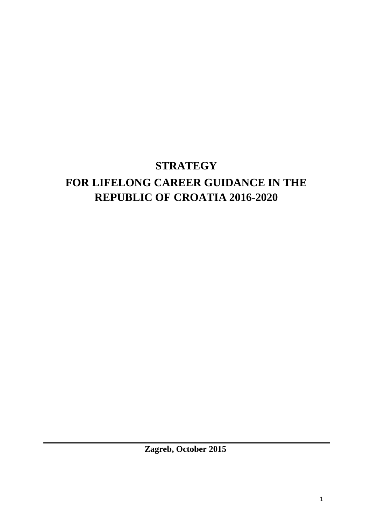# **STRATEGY**

# **FOR LIFELONG CAREER GUIDANCE IN THE REPUBLIC OF CROATIA 2016-2020**

**Zagreb, October 2015**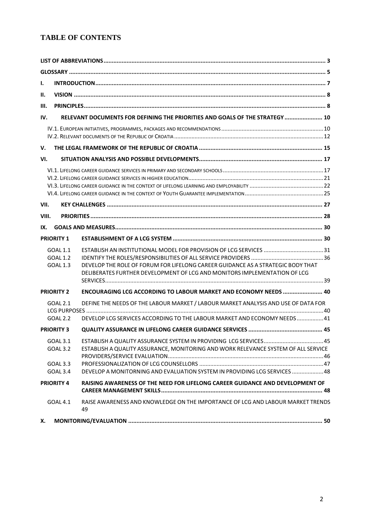## **TABLE OF CONTENTS**

| Ι.                |                 |                                                                                       |  |
|-------------------|-----------------|---------------------------------------------------------------------------------------|--|
| н.                |                 |                                                                                       |  |
| Ш.                |                 |                                                                                       |  |
| IV.               |                 | RELEVANT DOCUMENTS FOR DEFINING THE PRIORITIES AND GOALS OF THE STRATEGY  10          |  |
|                   |                 |                                                                                       |  |
|                   |                 |                                                                                       |  |
| V.                |                 |                                                                                       |  |
| VI.               |                 |                                                                                       |  |
|                   |                 |                                                                                       |  |
|                   |                 |                                                                                       |  |
|                   |                 |                                                                                       |  |
|                   |                 |                                                                                       |  |
| VII.              |                 |                                                                                       |  |
| VIII.             |                 |                                                                                       |  |
| IX.               |                 |                                                                                       |  |
| <b>PRIORITY 1</b> |                 |                                                                                       |  |
| GOAL 1.1          |                 |                                                                                       |  |
|                   | GOAL 1.2        |                                                                                       |  |
|                   | <b>GOAL 1.3</b> | DEVELOP THE ROLE OF FORUM FOR LIFELONG CAREER GUIDANCE AS A STRATEGIC BODY THAT       |  |
|                   |                 | DELIBERATES FURTHER DEVELOPMENT OF LCG AND MONITORS IMPLEMENTATION OF LCG             |  |
|                   |                 |                                                                                       |  |
| <b>PRIORITY 2</b> |                 | ENCOURAGING LCG ACCORDING TO LABOUR MARKET AND ECONOMY NEEDS  40                      |  |
|                   | GOAL 2.1        | DEFINE THE NEEDS OF THE LABOUR MARKET / LABOUR MARKET ANALYSIS AND USE OF DATA FOR    |  |
|                   | GOAL 2.2        | DEVELOP LCG SERVICES ACCORDING TO THE LABOUR MARKET AND ECONOMY NEEDS  41             |  |
| <b>PRIORITY 3</b> |                 |                                                                                       |  |
|                   | GOAL 3.1        |                                                                                       |  |
|                   | GOAL 3.2        | ESTABLISH A QUALITY ASSURANCE, MONITORING AND WORK RELEVANCE SYSTEM OF ALL SERVICE    |  |
|                   |                 |                                                                                       |  |
|                   | GOAL 3.3        |                                                                                       |  |
|                   | <b>GOAL 3.4</b> | DEVELOP A MONITORNING AND EVALUATION SYSTEM IN PROVIDING LCG SERVICES  48             |  |
| <b>PRIORITY 4</b> |                 | RAISING AWARENESS OF THE NEED FOR LIFELONG CAREER GUIDANCE AND DEVELOPMENT OF         |  |
|                   | GOAL 4.1        | RAISE AWARENESS AND KNOWLEDGE ON THE IMPORTANCE OF LCG AND LABOUR MARKET TRENDS<br>49 |  |
| Х.                |                 |                                                                                       |  |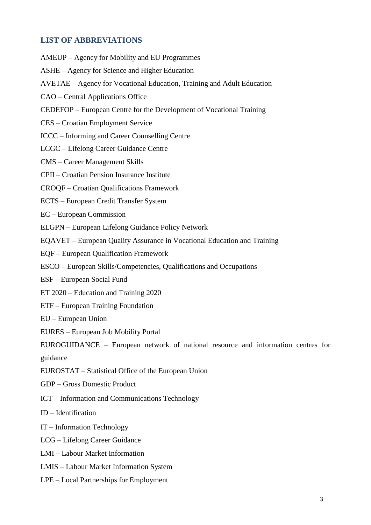## **LIST OF ABBREVIATIONS**

AMEUP – Agency for Mobility and EU Programmes

ASHE – Agency for Science and Higher Education

AVETAE – Agency for Vocational Education, Training and Adult Education

CAO – Central Applications Office

- CEDEFOP European Centre for the Development of Vocational Training
- CES Croatian Employment Service

ICCC – Informing and Career Counselling Centre

LCGC – Lifelong Career Guidance Centre

CMS – Career Management Skills

CPII – Croatian Pension Insurance Institute

CROQF – Croatian Qualifications Framework

ECTS – European Credit Transfer System

EC – European Commission

ELGPN – European Lifelong Guidance Policy Network

EQAVET – European Quality Assurance in Vocational Education and Training

EQF – European Qualification Framework

ESCO – European Skills/Competencies, Qualifications and Occupations

ESF – European Social Fund

ET 2020 – Education and Training 2020

ETF – European Training Foundation

EU – European Union

EURES – European Job Mobility Portal

EUROGUIDANCE – European network of national resource and information centres for guidance

EUROSTAT – Statistical Office of the European Union

GDP – Gross Domestic Product

ICT – Information and Communications Technology

ID – Identification

IT – Information Technology

LCG – Lifelong Career Guidance

LMI – Labour Market Information

LMIS – Labour Market Information System

LPE – Local Partnerships for Employment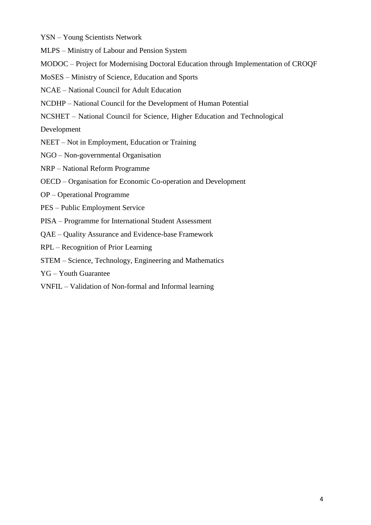YSN – Young Scientists Network

MLPS – Ministry of Labour and Pension System

MODOC – Project for Modernising Doctoral Education through Implementation of CROQF

MoSES – Ministry of Science, Education and Sports

NCAE – National Council for Adult Education

NCDHP – National Council for the Development of Human Potential

NCSHET – National Council for Science, Higher Education and Technological

Development

NEET – Not in Employment, Education or Training

- NGO Non-governmental Organisation
- NRP National Reform Programme
- OECD Organisation for Economic Co-operation and Development
- OP Operational Programme
- PES Public Employment Service
- PISA Programme for International Student Assessment
- QAE Quality Assurance and Evidence-base Framework
- RPL Recognition of Prior Learning
- STEM Science, Technology, Engineering and Mathematics
- YG Youth Guarantee
- VNFIL Validation of Non-formal and Informal learning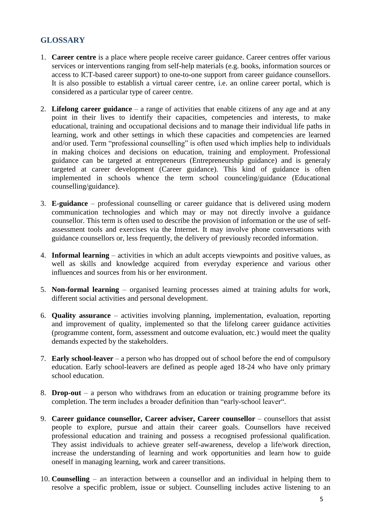## **GLOSSARY**

- 1. **Career centre** is a place where people receive career guidance. Career centres offer various services or interventions ranging from self-help materials (e.g. books, information sources or access to ICT-based career support) to one-to-one support from career guidance counsellors. It is also possible to establish a virtual career centre, i.e. an online career portal, which is considered as a particular type of career centre.
- 2. **Lifelong career guidance** a range of activities that enable citizens of any age and at any point in their lives to identify their capacities, competencies and interests, to make educational, training and occupational decisions and to manage their individual life paths in learning, work and other settings in which these capacities and competencies are learned and/or used. Term "professional counselling" is often used which implies help to individuals in making choices and decisions on education, training and employment. Professional guidance can be targeted at entrepreneurs (Entrepreneurship guidance) and is generaly targeted at career development (Career guidance). This kind of guidance is often implemented in schools whence the term school counceling/guidance (Educational counselling/guidance).
- 3. **E-guidance** professional counselling or career guidance that is delivered using modern communication technologies and which may or may not directly involve a guidance counsellor. This term is often used to describe the provision of information or the use of selfassessment tools and exercises via the Internet. It may involve phone conversations with guidance counsellors or, less frequently, the delivery of previously recorded information.
- 4. **Informal learning** activities in which an adult accepts viewpoints and positive values, as well as skills and knowledge acquired from everyday experience and various other influences and sources from his or her environment.
- 5. **Non-formal learning** organised learning processes aimed at training adults for work, different social activities and personal development.
- 6. **Quality assurance** activities involving planning, implementation, evaluation, reporting and improvement of quality, implemented so that the lifelong career guidance activities (programme content, form, assessment and outcome evaluation, etc.) would meet the quality demands expected by the stakeholders.
- 7. **Early school-leaver** a person who has dropped out of school before the end of compulsory education. Early school-leavers are defined as people aged 18-24 who have only primary school education.
- 8. **Drop-out** a person who withdraws from an education or training programme before its completion. The term includes a broader definition than "early-school leaver".
- 9. **Career guidance counsellor, Career adviser, Career counsellor** counsellors that assist people to explore, pursue and attain their career goals. Counsellors have received professional education and training and possess a recognised professional qualification. They assist individuals to achieve greater self-awareness, develop a life/work direction, increase the understanding of learning and work opportunities and learn how to guide oneself in managing learning, work and career transitions.
- 10. **Counselling** an interaction between a counsellor and an individual in helping them to resolve a specific problem, issue or subject. Counselling includes active listening to an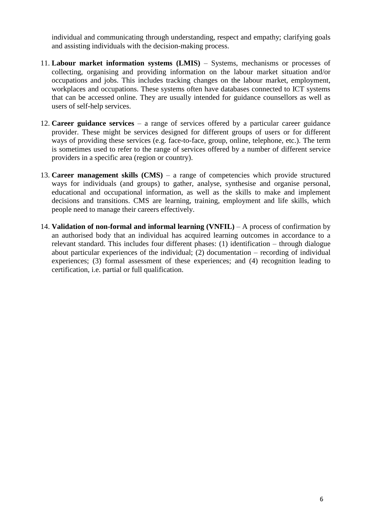individual and communicating through understanding, respect and empathy; clarifying goals and assisting individuals with the decision-making process.

- 11. **Labour market information systems (LMIS)** Systems, mechanisms or processes of collecting, organising and providing information on the labour market situation and/or occupations and jobs. This includes tracking changes on the labour market, employment, workplaces and occupations. These systems often have databases connected to ICT systems that can be accessed online. They are usually intended for guidance counsellors as well as users of self-help services.
- 12. **Career guidance services** a range of services offered by a particular career guidance provider. These might be services designed for different groups of users or for different ways of providing these services (e.g. face-to-face, group, online, telephone, etc.). The term is sometimes used to refer to the range of services offered by a number of different service providers in a specific area (region or country).
- 13. **Career management skills (CMS)** a range of competencies which provide structured ways for individuals (and groups) to gather, analyse, synthesise and organise personal, educational and occupational information, as well as the skills to make and implement decisions and transitions. CMS are learning, training, employment and life skills, which people need to manage their careers effectively.
- 14. **Validation of non-formal and informal learning (VNFIL)** A process of confirmation by an authorised body that an individual has acquired learning outcomes in accordance to a relevant standard. This includes four different phases: (1) identification – through dialogue about particular experiences of the individual; (2) documentation – recording of individual experiences; (3) formal assessment of these experiences; and (4) recognition leading to certification, i.e. partial or full qualification.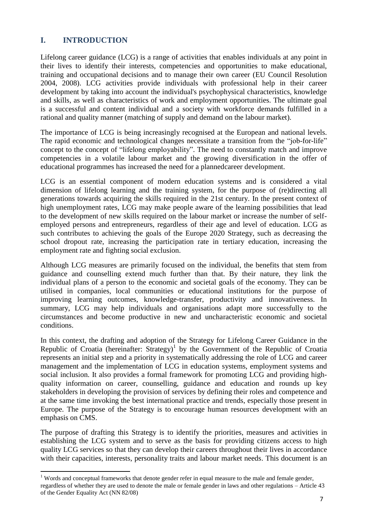## **I. INTRODUCTION**

 $\overline{a}$ 

Lifelong career guidance (LCG) is a range of activities that enables individuals at any point in their lives to identify their interests, competencies and opportunities to make educational, training and occupational decisions and to manage their own career (EU Council Resolution 2004, 2008). LCG activities provide individuals with professional help in their career development by taking into account the individual's psychophysical characteristics, knowledge and skills, as well as characteristics of work and employment opportunities. The ultimate goal is a successful and content individual and a society with workforce demands fulfilled in a rational and quality manner (matching of supply and demand on the labour market).

The importance of LCG is being increasingly recognised at the European and national levels. The rapid economic and technological changes necessitate a transition from the "job-for-life" concept to the concept of "lifelong employability". The need to constantly match and improve competencies in a volatile labour market and the growing diversification in the offer of educational programmes has increased the need for a plannedcareer development.

LCG is an essential component of modern education systems and is considered a vital dimension of lifelong learning and the training system, for the purpose of (re)directing all generations towards acquiring the skills required in the 21st century. In the present context of high unemployment rates, LCG may make people aware of the learning possibilities that lead to the development of new skills required on the labour market or increase the number of selfemployed persons and entrepreneurs, regardless of their age and level of education. LCG as such contributes to achieving the goals of the Europe 2020 Strategy, such as decreasing the school dropout rate, increasing the participation rate in tertiary education, increasing the employment rate and fighting social exclusion.

Although LCG measures are primarily focused on the individual, the benefits that stem from guidance and counselling extend much further than that. By their nature, they link the individual plans of a person to the economic and societal goals of the economy. They can be utilised in companies, local communities or educational institutions for the purpose of improving learning outcomes, knowledge-transfer, productivity and innovativeness. In summary, LCG may help individuals and organisations adapt more successfully to the circumstances and become productive in new and uncharacteristic economic and societal conditions.

In this context, the drafting and adoption of the Strategy for Lifelong Career Guidance in the Republic of Croatia (hereinafter: Strategy)<sup>1</sup> by the Government of the Republic of Croatia represents an initial step and a priority in systematically addressing the role of LCG and career management and the implementation of LCG in education systems, employment systems and social inclusion. It also provides a formal framework for promoting LCG and providing highquality information on career, counselling, guidance and education and rounds up key stakeholders in developing the provision of services by defining their roles and competence and at the same time invoking the best international practice and trends, especially those present in Europe. The purpose of the Strategy is to encourage human resources development with an emphasis on CMS.

The purpose of drafting this Strategy is to identify the priorities, measures and activities in establishing the LCG system and to serve as the basis for providing citizens access to high quality LCG services so that they can develop their careers throughout their lives in accordance with their capacities, interests, personality traits and labour market needs. This document is an

 $1$  Words and conceptual frameworks that denote gender refer in equal measure to the male and female gender, regardless of whether they are used to denote the male or female gender in laws and other regulations – Article 43 of the Gender Equality Act (NN 82/08)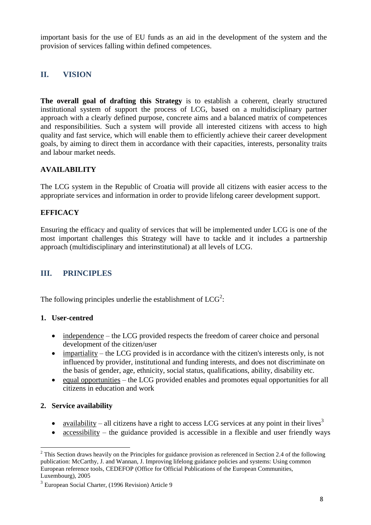important basis for the use of EU funds as an aid in the development of the system and the provision of services falling within defined competences.

## **II. VISION**

**The overall goal of drafting this Strategy** is to establish a coherent, clearly structured institutional system of support the process of LCG, based on a multidisciplinary partner approach with a clearly defined purpose, concrete aims and a balanced matrix of competences and responsibilities. Such a system will provide all interested citizens with access to high quality and fast service, which will enable them to efficiently achieve their career development goals, by aiming to direct them in accordance with their capacities, interests, personality traits and labour market needs.

## **AVAILABILITY**

The LCG system in the Republic of Croatia will provide all citizens with easier access to the appropriate services and information in order to provide lifelong career development support.

## **EFFICACY**

Ensuring the efficacy and quality of services that will be implemented under LCG is one of the most important challenges this Strategy will have to tackle and it includes a partnership approach (multidisciplinary and interinstitutional) at all levels of LCG.

## **III. PRINCIPLES**

The following principles underlie the establishment of  $LCG^2$ :

#### **1. User-centred**

- independence the LCG provided respects the freedom of career choice and personal development of the citizen/user
- impartiality the LCG provided is in accordance with the citizen's interests only, is not influenced by provider, institutional and funding interests, and does not discriminate on the basis of gender, age, ethnicity, social status, qualifications, ability, disability etc.
- $\bullet$  equal opportunities the LCG provided enables and promotes equal opportunities for all citizens in education and work

## **2. Service availability**

- availability all citizens have a right to access LCG services at any point in their lives<sup>3</sup>
- accessibility the guidance provided is accessible in a flexible and user friendly ways

<sup>1</sup>  $2^2$  This Section draws heavily on the Principles for guidance provision as referenced in Section 2.4 of the following publication: McCarthy, J. and Wannan, J. Improving lifelong guidance policies and systems: Using common European reference tools, CEDEFOP (Office for Official Publications of the European Communities, Luxembourg), 2005

<sup>&</sup>lt;sup>3</sup> European Social Charter, (1996 Revision) Article 9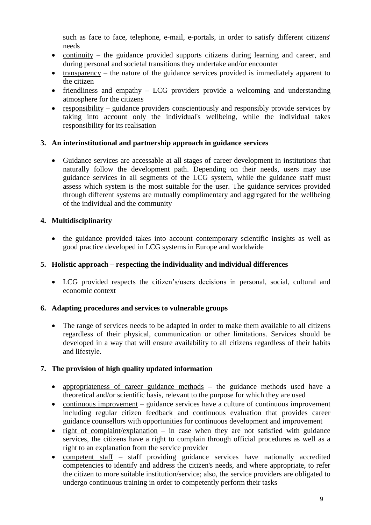such as face to face, telephone, e-mail, e-portals, in order to satisfy different citizens' needs

- continuity the guidance provided supports citizens during learning and career, and during personal and societal transitions they undertake and/or encounter
- $\bullet$  transparency the nature of the guidance services provided is immediately apparent to the citizen
- friendliness and empathy LCG providers provide a welcoming and understanding atmosphere for the citizens
- responsibility guidance providers conscientiously and responsibly provide services by taking into account only the individual's wellbeing, while the individual takes responsibility for its realisation

## **3. An interinstitutional and partnership approach in guidance services**

 Guidance services are accessable at all stages of career development in institutions that naturally follow the development path. Depending on their needs, users may use guidance services in all segments of the LCG system, while the guidance staff must assess which system is the most suitable for the user. The guidance services provided through different systems are mutually complimentary and aggregated for the wellbeing of the individual and the community

## **4. Multidisciplinarity**

• the guidance provided takes into account contemporary scientific insights as well as good practice developed in LCG systems in Europe and worldwide

## **5. Holistic approach – respecting the individuality and individual differences**

 LCG provided respects the citizen's/users decisions in personal, social, cultural and economic context

## **6. Adapting procedures and services to vulnerable groups**

• The range of services needs to be adapted in order to make them available to all citizens regardless of their physical, communication or other limitations. Services should be developed in a way that will ensure availability to all citizens regardless of their habits and lifestyle.

## **7. The provision of high quality updated information**

- appropriateness of career guidance methods the guidance methods used have a theoretical and/or scientific basis, relevant to the purpose for which they are used
- continuous improvement guidance services have a culture of continuous improvement including regular citizen feedback and continuous evaluation that provides career guidance counsellors with opportunities for continuous development and improvement
- right of complaint/explanation in case when they are not satisfied with guidance services, the citizens have a right to complain through official procedures as well as a right to an explanation from the service provider
- competent staff staff providing guidance services have nationally accredited competencies to identify and address the citizen's needs, and where appropriate, to refer the citizen to more suitable institution/service; also, the service providers are obligated to undergo continuous training in order to competently perform their tasks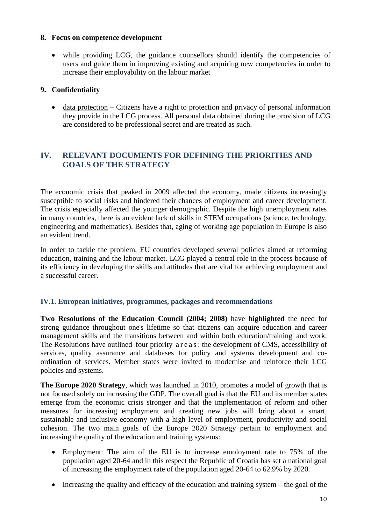#### **8. Focus on competence development**

 while providing LCG, the guidance counsellors should identify the competencies of users and guide them in improving existing and acquiring new competencies in order to increase their employability on the labour market

## **9. Confidentiality**

 $\bullet$  data protection – Citizens have a right to protection and privacy of personal information they provide in the LCG process. All personal data obtained during the provision of LCG are considered to be professional secret and are treated as such.

## **IV. RELEVANT DOCUMENTS FOR DEFINING THE PRIORITIES AND GOALS OF THE STRATEGY**

The economic crisis that peaked in 2009 affected the economy, made citizens increasingly susceptible to social risks and hindered their chances of employment and career development. The crisis especially affected the younger demographic. Despite the high unemployment rates in many countries, there is an evident lack of skills in STEM occupations (science, technology, engineering and mathematics). Besides that, aging of working age population in Europe is also an evident trend.

In order to tackle the problem, EU countries developed several policies aimed at reforming education, training and the labour market. LCG played a central role in the process because of its efficiency in developing the skills and attitudes that are vital for achieving employment and a successful career.

## **IV.1. European initiatives, programmes, packages and recommendations**

**Two Resolutions of the Education Council (2004; 2008)** have **highlighted** the need for strong guidance throughout one's lifetime so that citizens can acquire education and career management skills and the transitions between and within both education/training and work. The Resolutions have outlined four priority a r e as : the development of CMS, accessibility of services, quality assurance and databases for policy and systems development and coordination of services. Member states were invited to modernise and reinforce their LCG policies and systems.

**The Europe 2020 Strategy**, which was launched in 2010, promotes a model of growth that is not focused solely on increasing the GDP. The overall goal is that the EU and its member states emerge from the economic crisis stronger and that the implementation of reform and other measures for increasing employment and creating new jobs will bring about a smart, sustainable and inclusive economy with a high level of employment, productivity and social cohesion. The two main goals of the Europe 2020 Strategy pertain to employment and increasing the quality of the education and training systems:

- Employment: The aim of the EU is to increase emoloyment rate to 75% of the population aged 20-64 and in this respect the Republic of Croatia has set a national goal of increasing the employment rate of the population aged 20-64 to 62.9% by 2020.
- Increasing the quality and efficacy of the education and training system the goal of the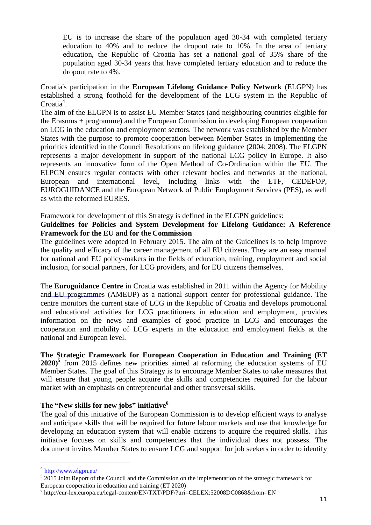EU is to increase the share of the population aged 30-34 with completed tertiary education to 40% and to reduce the dropout rate to 10%. In the area of tertiary education, the Republic of Croatia has set a national goal of 35% share of the population aged 30-34 years that have completed tertiary education and to reduce the dropout rate to 4%.

Croatia's participation in the **European Lifelong Guidance Policy Network** (ELGPN) has established a strong foothold for the development of the LCG system in the Republic of  $C$ roatia<sup>4</sup>.

The aim of the ELGPN is to assist EU Member States (and neighbouring countries eligible for the Erasmus + programme) and the European Commission in developing European cooperation on LCG in the education and employment sectors. The network was established by the Member States with the purpose to promote cooperation between Member States in implementing the priorities identified in the Council Resolutions on lifelong guidance (2004; 2008). The ELGPN represents a major development in support of the national LCG policy in Europe. It also represents an innovative form of the Open Method of Co-Ordination within the EU. The ELPGN ensures regular contacts with other relevant bodies and networks at the national, European and international level, including links with the ETF, CEDEFOP, EUROGUIDANCE and the European Network of Public Employment Services (PES), as well as with the reformed EURES.

Framework for development of this Strategy is defined in the ELGPN guidelines:

## **Guidelines for Policies and System Development for Lifelong Guidance: A Reference Framework for the EU and for the Commission**

The guidelines were adopted in February 2015. The aim of the Guidelines is to help improve the quality and efficacy of the career management of all EU citizens. They are an easy manual for national and EU policy-makers in the fields of education, training, employment and social inclusion, for social partners, for LCG providers, and for EU citizens themselves.

The **Euroguidance Centre** in Croatia was established in 2011 within the Agency for Mobility and EU programmes (AMEUP) as a national support center for professional guidance. The centre monitors the current state of LCG in the Republic of Croatia and develops promotional and educational activities for LCG practitioners in education and employment, provides information on the news and examples of good practice in LCG and encourages the cooperation and mobility of LCG experts in the education and employment fields at the national and European level.

**The Strategic Framework for European Cooperation in Education and Training (ET 2020)<sup>5</sup>** from 2015 defines new priorities aimed at reforming the education systems of EU Member States. The goal of this Strategy is to encourage Member States to take measures that will ensure that young people acquire the skills and competencies required for the labour market with an emphasis on entrepreneurial and other transversal skills.

## **The "New skills for new jobs" initiative<sup>6</sup>**

The goal of this initiative of the European Commission is to develop efficient ways to analyse and anticipate skills that will be required for future labour markets and use that knowledge for developing an education system that will enable citizens to acquire the required skills. This initiative focuses on skills and competencies that the individual does not possess. The document invites Member States to ensure LCG and support for job seekers in order to identify

1

<sup>&</sup>lt;sup>4</sup> <http://www.elgpn.eu/>

 $52015$  Joint Report of the Council and the Commission on the implementation of the strategic framework for European cooperation in education and training (ET 2020)

<sup>6</sup> http://eur-lex.europa.eu/legal-content/EN/TXT/PDF/?uri=CELEX:52008DC0868&from=EN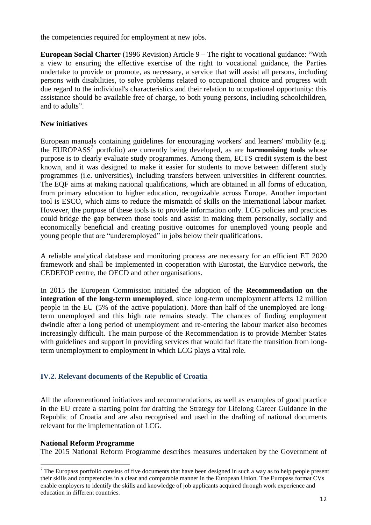the competencies required for employment at new jobs.

**European Social Charter** (1996 Revision) Article 9 – The right to vocational guidance: "With a view to ensuring the effective exercise of the right to vocational guidance, the Parties undertake to provide or promote, as necessary, a service that will assist all persons, including persons with disabilities, to solve problems related to occupational choice and progress with due regard to the individual's characteristics and their relation to occupational opportunity: this assistance should be available free of charge, to both young persons, including schoolchildren, and to adults".

#### **New initiatives**

European manuals containing guidelines for encouraging workers' and learners' mobility (e.g. the EUROPASS<sup>7</sup> portfolio) are currently being developed, as are **harmonising tools** whose purpose is to clearly evaluate study programmes. Among them, ECTS credit system is the best known, and it was designed to make it easier for students to move between different study programmes (i.e. universities), including transfers between universities in different countries. The EQF aims at making national qualifications, which are obtained in all forms of education, from primary education to higher education, recognizable across Europe. Another important tool is ESCO, which aims to reduce the mismatch of skills on the international labour market. However, the purpose of these tools is to provide information only. LCG policies and practices could bridge the gap between those tools and assist in making them personally, socially and economically beneficial and creating positive outcomes for unemployed young people and young people that are "underemployed" in jobs below their qualifications.

A reliable analytical database and monitoring process are necessary for an efficient ET 2020 framework and shall be implemented in cooperation with Eurostat, the Eurydice network, the CEDEFOP centre, the OECD and other organisations.

In 2015 the European Commission initiated the adoption of the **Recommendation on the integration of the long-term unemployed**, since long-term unemployment affects 12 million people in the EU (5% of the active population). More than half of the unemployed are longterm unemployed and this high rate remains steady. The chances of finding employment dwindle after a long period of unemployment and re-entering the labour market also becomes increasingly difficult. The main purpose of the Recommendation is to provide Member States with guidelines and support in providing services that would facilitate the transition from longterm unemployment to employment in which LCG plays a vital role.

## **IV.2. Relevant documents of the Republic of Croatia**

All the aforementioned initiatives and recommendations, as well as examples of good practice in the EU create a starting point for drafting the Strategy for Lifelong Career Guidance in the Republic of Croatia and are also recognised and used in the drafting of national documents relevant for the implementation of LCG.

#### **National Reform Programme**

 $\overline{a}$ 

The 2015 National Reform Programme describes measures undertaken by the Government of

 $<sup>7</sup>$  The Europass portfolio consists of five documents that have been designed in such a way as to help people present</sup> their skills and competencies in a clear and comparable manner in the European Union. The Europass format CVs enable employers to identify the skills and knowledge of job applicants acquired through work experience and education in different countries.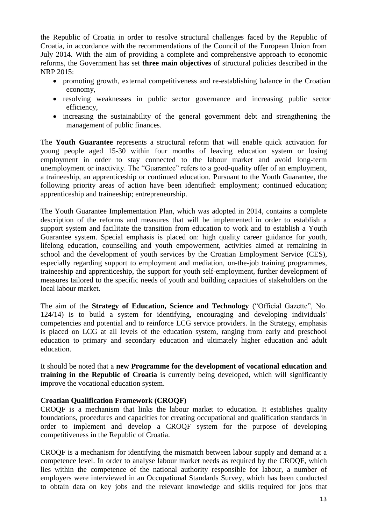the Republic of Croatia in order to resolve structural challenges faced by the Republic of Croatia, in accordance with the recommendations of the Council of the European Union from July 2014. With the aim of providing a complete and comprehensive approach to economic reforms, the Government has set **three main objectives** of structural policies described in the NRP 2015:

- promoting growth, external competitiveness and re-establishing balance in the Croatian economy,
- resolving weaknesses in public sector governance and increasing public sector efficiency,
- increasing the sustainability of the general government debt and strengthening the management of public finances.

The **Youth Guarantee** represents a structural reform that will enable quick activation for young people aged 15-30 within four months of leaving education system or losing employment in order to stay connected to the labour market and avoid long-term unemployment or inactivity. The "Guarantee" refers to a good-quality offer of an employment, a traineeship, an apprenticeship or continued education. Pursuant to the Youth Guarantee, the following priority areas of action have been identified: employment; continued education; apprenticeship and traineeship; entrepreneurship.

The Youth Guarantee Implementation Plan, which was adopted in 2014, contains a complete description of the reforms and measures that will be implemented in order to establish a support system and facilitate the transition from education to work and to establish a Youth Guarantee system. Special emphasis is placed on: high quality career guidance for youth, lifelong education, counselling and youth empowerment, activities aimed at remaining in school and the development of youth services by the Croatian Employment Service (CES), especially regarding support to employment and mediation, on-the-job training programmes, traineeship and apprenticeship, the support for youth self-employment, further development of measures tailored to the specific needs of youth and building capacities of stakeholders on the local labour market.

The aim of the **Strategy of Education, Science and Technology** ("Official Gazette", No. 124/14) is to build a system for identifying, encouraging and developing individuals' competencies and potential and to reinforce LCG service providers. In the Strategy, emphasis is placed on LCG at all levels of the education system, ranging from early and preschool education to primary and secondary education and ultimately higher education and adult education.

It should be noted that a **new Programme for the development of vocational education and training in the Republic of Croatia** is currently being developed, which will significantly improve the vocational education system.

## **Croatian Qualification Framework (CROQF)**

CROQF is a mechanism that links the labour market to education. It establishes quality foundations, procedures and capacities for creating occupational and qualification standards in order to implement and develop a CROQF system for the purpose of developing competitiveness in the Republic of Croatia.

CROQF is a mechanism for identifying the mismatch between labour supply and demand at a competence level. In order to analyse labour market needs as required by the CROQF, which lies within the competence of the national authority responsible for labour, a number of employers were interviewed in an Occupational Standards Survey, which has been conducted to obtain data on key jobs and the relevant knowledge and skills required for jobs that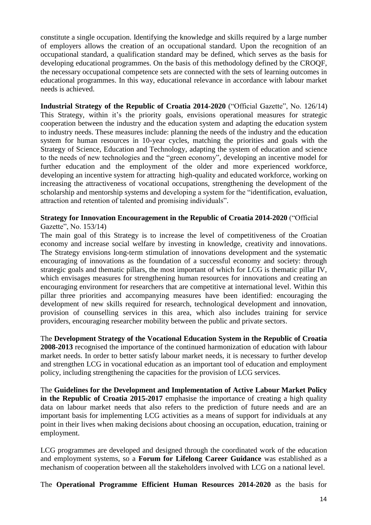constitute a single occupation. Identifying the knowledge and skills required by a large number of employers allows the creation of an occupational standard. Upon the recognition of an occupational standard, a qualification standard may be defined, which serves as the basis for developing educational programmes. On the basis of this methodology defined by the CROQF, the necessary occupational competence sets are connected with the sets of learning outcomes in educational programmes. In this way, educational relevance in accordance with labour market needs is achieved.

**Industrial Strategy of the Republic of Croatia 2014-2020** ("Official Gazette", No. 126/14) This Strategy, within it's the priority goals, envisions operational measures for strategic cooperation between the industry and the education system and adapting the education system to industry needs. These measures include: planning the needs of the industry and the education system for human resources in 10-year cycles, matching the priorities and goals with the Strategy of Science, Education and Technology, adapting the system of education and science to the needs of new technologies and the "green economy", developing an incentive model for further education and the employment of the older and more experienced workforce, developing an incentive system for attracting high-quality and educated workforce, working on increasing the attractiveness of vocational occupations, strengthening the development of the scholarship and mentorship systems and developing a system for the "identification, evaluation, attraction and retention of talented and promising individuals".

# **Strategy for Innovation Encouragement in the Republic of Croatia 2014-2020** ("Official

Gazette", No. 153/14)

The main goal of this Strategy is to increase the level of competitiveness of the Croatian economy and increase social welfare by investing in knowledge, creativity and innovations. The Strategy envisions long-term stimulation of innovations development and the systematic encouraging of innovations as the foundation of a successful economy and society: through strategic goals and thematic pillars, the most important of which for LCG is thematic pillar IV, which envisages measures for strengthening human resources for innovations and creating an encouraging environment for researchers that are competitive at international level. Within this pillar three priorities and accompanying measures have been identified: encouraging the development of new skills required for research, technological development and innovation, provision of counselling services in this area, which also includes training for service providers, encouraging researcher mobility between the public and private sectors.

The **Development Strategy of the Vocational Education System in the Republic of Croatia 2008-2013** recognised the importance of the continued harmonization of education with labour market needs. In order to better satisfy labour market needs, it is necessary to further develop and strengthen LCG in vocational education as an important tool of education and employment policy, including strengthening the capacities for the provision of LCG services.

The **Guidelines for the Development and Implementation of Active Labour Market Policy in the Republic of Croatia 2015-2017** emphasise the importance of creating a high quality data on labour market needs that also refers to the prediction of future needs and are an important basis for implementing LCG activities as a means of support for individuals at any point in their lives when making decisions about choosing an occupation, education, training or employment.

LCG programmes are developed and designed through the coordinated work of the education and employment systems, so a **Forum for Lifelong Career Guidance** was established as a mechanism of cooperation between all the stakeholders involved with LCG on a national level.

The **Operational Programme Efficient Human Resources 2014-2020** as the basis for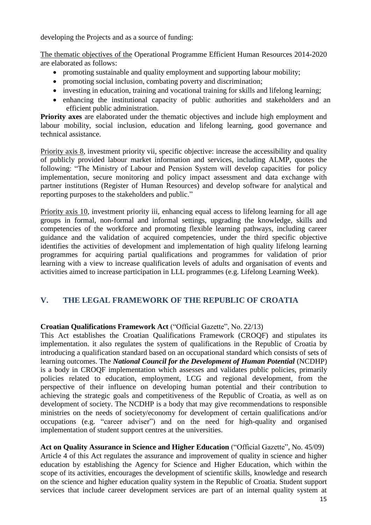developing the Projects and as a source of funding:

The thematic objectives of the Operational Programme Efficient Human Resources 2014-2020 are elaborated as follows:

- promoting sustainable and quality employment and supporting labour mobility;
- promoting social inclusion, combating poverty and discrimination;
- investing in education, training and vocational training for skills and lifelong learning;
- enhancing the institutional capacity of public authorities and stakeholders and an efficient public administration.

**Priority axes** are elaborated under the thematic objectives and include high employment and labour mobility, social inclusion, education and lifelong learning, good governance and technical assistance.

Priority axis 8, investment priority vii, specific objective: increase the accessibility and quality of publicly provided labour market information and services, including ALMP, quotes the following: "The Ministry of Labour and Pension System will develop capacities for policy implementation, secure monitoring and policy impact assessment and data exchange with partner institutions (Register of Human Resources) and develop software for analytical and reporting purposes to the stakeholders and public."

Priority axis 10, investment priority iii, enhancing equal access to lifelong learning for all age groups in formal, non-formal and informal settings, upgrading the knowledge, skills and competencies of the workforce and promoting flexible learning pathways, including career guidance and the validation of acquired competencies, under the third specific objective identifies the activities of development and implementation of high quality lifelong learning programmes for acquiring partial qualifications and programmes for validation of prior learning with a view to increase qualification levels of adults and organisation of events and activities aimed to increase participation in LLL programmes (e.g. Lifelong Learning Week).

## **V. THE LEGAL FRAMEWORK OF THE REPUBLIC OF CROATIA**

#### **Croatian Qualifications Framework Act** ("Official Gazette", No. 22/13)

This Act establishes the Croatian Qualifications Framework (CROQF) and stipulates its implementation. it also regulates the system of qualifications in the Republic of Croatia by introducing a qualification standard based on an occupational standard which consists of sets of learning outcomes. The *National Council for the Development of Human Potential* (NCDHP) is a body in CROQF implementation which assesses and validates public policies, primarily policies related to education, employment, LCG and regional development, from the perspective of their influence on developing human potential and their contribution to achieving the strategic goals and competitiveness of the Republic of Croatia, as well as on development of society. The NCDHP is a body that may give recommendations to responsible ministries on the needs of society/economy for development of certain qualifications and/or occupations (e.g. "career adviser") and on the need for high-quality and organised implementation of student support centres at the universities.

**Act on Quality Assurance in Science and Higher Education** ("Official Gazette", No. 45/09) Article 4 of this Act regulates the assurance and improvement of quality in science and higher education by establishing the Agency for Science and Higher Education, which within the scope of its activities, encourages the development of scientific skills, knowledge and research on the science and higher education quality system in the Republic of Croatia. Student support services that include career development services are part of an internal quality system at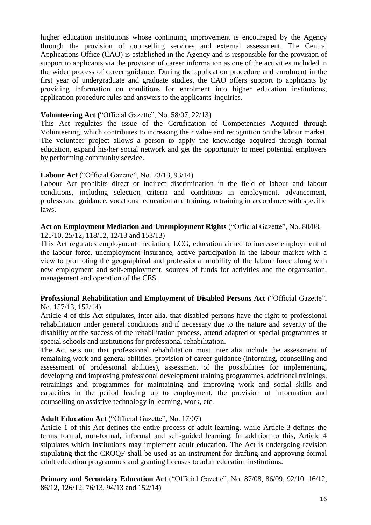higher education institutions whose continuing improvement is encouraged by the Agency through the provision of counselling services and external assessment. The Central Applications Office (CAO) is established in the Agency and is responsible for the provision of support to applicants via the provision of career information as one of the activities included in the wider process of career guidance. During the application procedure and enrolment in the first year of undergraduate and graduate studies, the CAO offers support to applicants by providing information on conditions for enrolment into higher education institutions, application procedure rules and answers to the applicants' inquiries.

#### **Volunteering Act (**"Official Gazette", No. 58/07, 22/13)

This Act regulates the issue of the Certification of Competencies Acquired through Volunteering, which contributes to increasing their value and recognition on the labour market. The volunteer project allows a person to apply the knowledge acquired through formal education, expand his/her social network and get the opportunity to meet potential employers by performing community service.

#### **Labour Act** ("Official Gazette", No. 73/13, 93/14)

Labour Act prohibits direct or indirect discrimination in the field of labour and labour conditions, including selection criteria and conditions in employment, advancement, professional guidance, vocational education and training, retraining in accordance with specific laws.

#### **Act on Employment Mediation and Unemployment Rights** ("Official Gazette", No. 80/08,

121/10, 25/12, 118/12, 12/13 and 153/13)

This Act regulates employment mediation, LCG, education aimed to increase employment of the labour force, unemployment insurance, active participation in the labour market with a view to promoting the geographical and professional mobility of the labour force along with new employment and self-employment, sources of funds for activities and the organisation, management and operation of the CES.

#### **Professional Rehabilitation and Employment of Disabled Persons Act** ("Official Gazette", No. 157/13, 152/14)

Article 4 of this Act stipulates, inter alia, that disabled persons have the right to professional rehabilitation under general conditions and if necessary due to the nature and severity of the disability or the success of the rehabilitation process, attend adapted or special programmes at special schools and institutions for professional rehabilitation.

The Act sets out that professional rehabilitation must inter alia include the assessment of remaining work and general abilities, provision of career guidance (informing, counselling and assessment of professional abilities), assessment of the possibilities for implementing, developing and improving professional development training programmes, additional trainings, retrainings and programmes for maintaining and improving work and social skills and capacities in the period leading up to employment, the provision of information and counselling on assistive technology in learning, work, etc.

## **Adult Education Act** ("Official Gazette", No. 17/07)

Article 1 of this Act defines the entire process of adult learning, while Article 3 defines the terms formal, non-formal, informal and self-guided learning. In addition to this, Article 4 stipulates which institutions may implement adult education. The Act is undergoing revision stipulating that the CROQF shall be used as an instrument for drafting and approving formal adult education programmes and granting licenses to adult education institutions.

**Primary and Secondary Education Act** ("Official Gazette", No. 87/08, 86/09, 92/10, 16/12, 86/12, 126/12, 76/13, 94/13 and 152/14)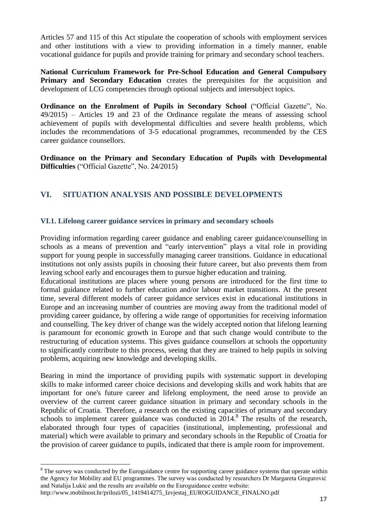Articles 57 and 115 of this Act stipulate the cooperation of schools with employment services and other institutions with a view to providing information in a timely manner, enable vocational guidance for pupils and provide training for primary and secondary school teachers.

**National Curriculum Framework for Pre-School Education and General Compulsory Primary and Secondary Education** creates the prerequisites for the acquisition and development of LCG competencies through optional subjects and intersubject topics.

**Ordinance on the Enrolment of Pupils in Secondary School** ("Official Gazette", No. 49/2015) – Articles 19 and 23 of the Ordinance regulate the means of assessing school achievement of pupils with developmental difficulties and severe health problems, which includes the recommendations of 3-5 educational programmes, recommended by the CES career guidance counsellors.

**Ordinance on the Primary and Secondary Education of Pupils with Developmental Difficulties** ("Official Gazette", No. 24/2015)

## **VI. SITUATION ANALYSIS AND POSSIBLE DEVELOPMENTS**

## **VI.1. Lifelong career guidance services in primary and secondary schools**

Providing information regarding career guidance and enabling career guidance/counselling in schools as a means of prevention and "early intervention" plays a vital role in providing support for young people in successfully managing career transitions. Guidance in educational institutions not only assists pupils in choosing their future career, but also prevents them from leaving school early and encourages them to pursue higher education and training.

Educational institutions are places where young persons are introduced for the first time to formal guidance related to further education and/or labour market transitions. At the present time, several different models of career guidance services exist in educational institutions in Europe and an increasing number of countries are moving away from the traditional model of providing career guidance, by offering a wide range of opportunities for receiving information and counselling. The key driver of change was the widely accepted notion that lifelong learning is paramount for economic growth in Europe and that such change would contribute to the restructuring of education systems. This gives guidance counsellors at schools the opportunity to significantly contribute to this process, seeing that they are trained to help pupils in solving problems, acquiring new knowledge and developing skills.

Bearing in mind the importance of providing pupils with systematic support in developing skills to make informed career choice decisions and developing skills and work habits that are important for one's future career and lifelong employment, the need arose to provide an overview of the current career guidance situation in primary and secondary schools in the Republic of Croatia. Therefore, a research on the existing capacities of primary and secondary schools to implement career guidance was conducted in 2014.<sup>8</sup> The results of the research, elaborated through four types of capacities (institutional, implementing, professional and material) which were available to primary and secondary schools in the Republic of Croatia for the provision of career guidance to pupils, indicated that there is ample room for improvement.

 $\overline{a}$ 

 $8$  The survey was conducted by the Euroguidance centre for supporting career guidance systems that operate within the Agency for Mobility and EU programmes. The survey was conducted by researchers Dr Margareta Gregurović and Natalija Lukić and the results are available on the Euroguidance centre website:

http://www.mobilnost.hr/prilozi/05\_1419414275\_Izvjestaj\_EUROGUIDANCE\_FINALNO.pdf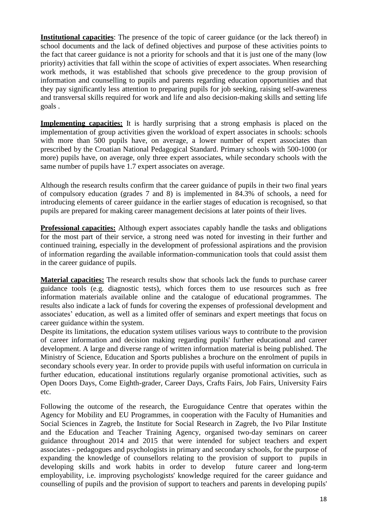**Institutional capacities**: The presence of the topic of career guidance (or the lack thereof) in school documents and the lack of defined objectives and purpose of these activities points to the fact that career guidance is not a priority for schools and that it is just one of the many (low priority) activities that fall within the scope of activities of expert associates. When researching work methods, it was established that schools give precedence to the group provision of information and counselling to pupils and parents regarding education opportunities and that they pay significantly less attention to preparing pupils for job seeking, raising self-awareness and transversal skills required for work and life and also decision-making skills and setting life goals .

**Implementing capacities:** It is hardly surprising that a strong emphasis is placed on the implementation of group activities given the workload of expert associates in schools: schools with more than 500 pupils have, on average, a lower number of expert associates than prescribed by the Croatian National Pedagogical Standard. Primary schools with 500-1000 (or more) pupils have, on average, only three expert associates, while secondary schools with the same number of pupils have 1.7 expert associates on average.

Although the research results confirm that the career guidance of pupils in their two final years of compulsory education (grades 7 and 8) is implemented in 84.3% of schools, a need for introducing elements of career guidance in the earlier stages of education is recognised, so that pupils are prepared for making career management decisions at later points of their lives.

**Professional capacities:** Although expert associates capably handle the tasks and obligations for the most part of their service, a strong need was noted for investing in their further and continued training, especially in the development of professional aspirations and the provision of information regarding the available information‐communication tools that could assist them in the career guidance of pupils.

**Material capacities:** The research results show that schools lack the funds to purchase career guidance tools (e.g. diagnostic tests), which forces them to use resources such as free information materials available online and the catalogue of educational programmes. The results also indicate a lack of funds for covering the expenses of professional development and associates' education, as well as a limited offer of seminars and expert meetings that focus on career guidance within the system.

Despite its limitations, the education system utilises various ways to contribute to the provision of career information and decision making regarding pupils' further educational and career development. A large and diverse range of written information material is being published. The Ministry of Science, Education and Sports publishes a brochure on the enrolment of pupils in secondary schools every year. In order to provide pupils with useful information on curricula in further education, educational institutions regularly organise promotional activities, such as Open Doors Days, Come Eighth-grader, Career Days, Crafts Fairs, Job Fairs, University Fairs etc.

Following the outcome of the research, the Euroguidance Centre that operates within the Agency for Mobility and EU Programmes, in cooperation with the Faculty of Humanities and Social Sciences in Zagreb, the Institute for Social Research in Zagreb, the Ivo Pilar Institute and the Education and Teacher Training Agency, organised two-day seminars on career guidance throughout 2014 and 2015 that were intended for subject teachers and expert associates - pedagogues and psychologists in primary and secondary schools, for the purpose of expanding the knowledge of counsellors relating to the provision of support to pupils in developing skills and work habits in order to develop future career and long-term employability, i.e. improving psychologists' knowledge required for the career guidance and counselling of pupils and the provision of support to teachers and parents in developing pupils'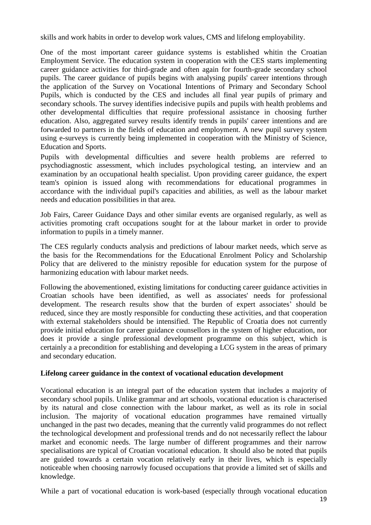skills and work habits in order to develop work values, CMS and lifelong employability.

One of the most important career guidance systems is established whitin the Croatian Employment Service. The education system in cooperation with the CES starts implementing career guidance activities for third-grade and often again for fourth-grade secondary school pupils. The career guidance of pupils begins with analysing pupils' career intentions through the application of the Survey on Vocational Intentions of Primary and Secondary School Pupils, which is conducted by the CES and includes all final year pupils of primary and secondary schools. The survey identifies indecisive pupils and pupils with health problems and other developmental difficulties that require professional assistance in choosing further education. Also, aggregated survey results identify trends in pupils' career intentions and are forwarded to partners in the fields of education and employment. A new pupil survey system using e-surveys is currently being implemented in cooperation with the Ministry of Science, Education and Sports.

Pupils with developmental difficulties and severe health problems are referred to psychodiagnostic assessment, which includes psychological testing, an interview and an examination by an occupational health specialist. Upon providing career guidance, the expert team's opinion is issued along with recommendations for educational programmes in accordance with the individual pupil's capacities and abilities, as well as the labour market needs and education possibilities in that area.

Job Fairs, Career Guidance Days and other similar events are organised regularly, as well as activities promoting craft occupations sought for at the labour market in order to provide information to pupils in a timely manner.

The CES regularly conducts analysis and predictions of labour market needs, which serve as the basis for the Recommendations for the Educational Enrolment Policy and Scholarship Policy that are delivered to the ministry reposible for education system for the purpose of harmonizing education with labour market needs.

Following the abovementioned, existing limitations for conducting career guidance activities in Croatian schools have been identified, as well as associates' needs for professional development. The research results show that the burden of expert associates' should be reduced, since they are mostly responsible for conducting these activities, and that cooperation with external stakeholders should be intensified. The Republic of Croatia does not currently provide initial education for career guidance counsellors in the system of higher education, nor does it provide a single professional development programme on this subject, which is certainly a a precondition for establishing and developing a LCG system in the areas of primary and secondary education.

## **Lifelong career guidance in the context of vocational education development**

Vocational education is an integral part of the education system that includes a majority of secondary school pupils. Unlike grammar and art schools, vocational education is characterised by its natural and close connection with the labour market, as well as its role in social inclusion. The majority of vocational education programmes have remained virtually unchanged in the past two decades, meaning that the currently valid programmes do not reflect the technological development and professional trends and do not necessarily reflect the labour market and economic needs. The large number of different programmes and their narrow specialisations are typical of Croatian vocational education. It should also be noted that pupils are guided towards a certain vocation relatively early in their lives, which is especially noticeable when choosing narrowly focused occupations that provide a limited set of skills and knowledge.

While a part of vocational education is work-based (especially through vocational education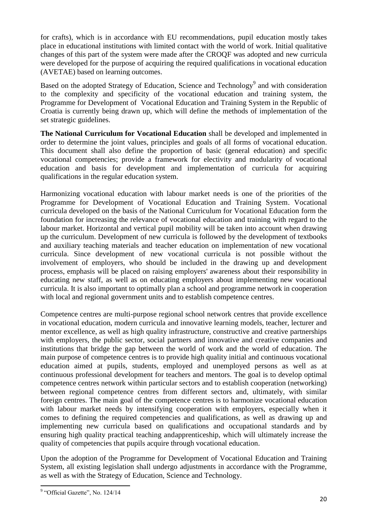for crafts), which is in accordance with EU recommendations, pupil education mostly takes place in educational institutions with limited contact with the world of work. Initial qualitative changes of this part of the system were made after the CROQF was adopted and new curricula were developed for the purpose of acquiring the required qualifications in vocational education (AVETAE) based on learning outcomes.

Based on the adopted Strategy of Education, Science and Technology<sup>9</sup> and with consideration to the complexity and specificity of the vocational education and training system, the Programme for Development of Vocational Education and Training System in the Republic of Croatia is currently being drawn up, which will define the methods of implementation of the set strategic guidelines.

**The National Curriculum for Vocational Education** shall be developed and implemented in order to determine the joint values, principles and goals of all forms of vocational education. This document shall also define the proportion of basic (general education) and specific vocational competencies; provide a framework for electivity and modularity of vocational education and basis for development and implementation of curricula for acquiring qualifications in the regular education system.

Harmonizing vocational education with labour market needs is one of the priorities of the Programme for Development of Vocational Education and Training System. Vocational curricula developed on the basis of the National Curriculum for Vocational Education form the foundation for increasing the relevance of vocational education and training with regard to the labour market. Horizontal and vertical pupil mobility will be taken into account when drawing up the curriculum. Development of new curricula is followed by the development of textbooks and auxiliary teaching materials and teacher education on implementation of new vocational curricula. Since development of new vocational curricula is not possible without the involvement of employers, who should be included in the drawing up and development process, emphasis will be placed on raising employers' awareness about their responsibility in educating new staff, as well as on educating employers about implementing new vocational curricula. It is also important to optimally plan a school and programme network in cooperation with local and regional government units and to establish competence centres.

Competence centres are multi-purpose regional school network centres that provide excellence in vocational education, modern curricula and innovative learning models, teacher, lecturer and mentor excellence, as well as high quality infrastructure, constructive and creative partnerships with employers, the public sector, social partners and innovative and creative companies and institutions that bridge the gap between the world of work and the world of education. The main purpose of competence centres is to provide high quality initial and continuous vocational education aimed at pupils, students, employed and unemployed persons as well as at continuous professional development for teachers and mentors. The goal is to develop optimal competence centres network within particular sectors and to establish cooperation (networking) between regional competence centres from different sectors and, ultimately, with similar foreign centres. The main goal of the competence centres is to harmonize vocational education with labour market needs by intensifying cooperation with employers, especially when it comes to defining the required competencies and qualifications, as well as drawing up and implementing new curricula based on qualifications and occupational standards and by ensuring high quality practical teaching andapprenticeship, which will ultimately increase the quality of competencies that pupils acquire through vocational education.

Upon the adoption of the Programme for Development of Vocational Education and Training System, all existing legislation shall undergo adjustments in accordance with the Programme, as well as with the Strategy of Education, Science and Technology.

<sup>&</sup>lt;sup>9</sup> "Official Gazette", No. 124/14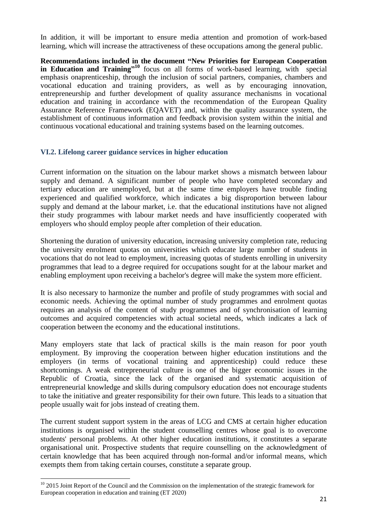In addition, it will be important to ensure media attention and promotion of work-based learning, which will increase the attractiveness of these occupations among the general public.

**Recommendations included in the document "New Priorities for European Cooperation**  in Education and Training<sup>"10</sup> focus on all forms of work-based learning, with special emphasis onaprenticeship, through the inclusion of social partners, companies, chambers and vocational education and training providers, as well as by encouraging innovation, entrepreneurship and further development of quality assurance mechanisms in vocational education and training in accordance with the recommendation of the European Quality Assurance Reference Framework (EQAVET) and, within the quality assurance system, the establishment of continuous information and feedback provision system within the initial and continuous vocational educational and training systems based on the learning outcomes.

#### **VI.2. Lifelong career guidance services in higher education**

Current information on the situation on the labour market shows a mismatch between labour supply and demand. A significant number of people who have completed secondary and tertiary education are unemployed, but at the same time employers have trouble finding experienced and qualified workforce, which indicates a big disproportion between labour supply and demand at the labour market, i.e. that the educational institutions have not aligned their study programmes with labour market needs and have insufficiently cooperated with employers who should employ people after completion of their education.

Shortening the duration of university education, increasing university completion rate, reducing the university enrolment quotas on universities which educate large number of students in vocations that do not lead to employment, increasing quotas of students enrolling in university programmes that lead to a degree required for occupations sought for at the labour market and enabling employment upon receiving a bachelor's degree will make the system more efficient.

It is also necessary to harmonize the number and profile of study programmes with social and economic needs. Achieving the optimal number of study programmes and enrolment quotas requires an analysis of the content of study programmes and of synchronisation of learning outcomes and acquired competencies with actual societal needs, which indicates a lack of cooperation between the economy and the educational institutions.

Many employers state that lack of practical skills is the main reason for poor youth employment. By improving the cooperation between higher education institutions and the employers (in terms of vocational training and apprenticeship) could reduce these shortcomings. A weak entrepreneurial culture is one of the bigger economic issues in the Republic of Croatia, since the lack of the organised and systematic acquisition of entrepreneurial knowledge and skills during compulsory education does not encourage students to take the initiative and greater responsibility for their own future. This leads to a situation that people usually wait for jobs instead of creating them.

The current student support system in the areas of LCG and CMS at certain higher education institutions is organised within the student counselling centres whose goal is to overcome students' personal problems. At other higher education institutions, it constitutes a separate organisational unit. Prospective students that require counselling on the acknowledgment of certain knowledge that has been acquired through non-formal and/or informal means, which exempts them from taking certain courses, constitute a separate group.

 $\overline{a}$ 

<sup>&</sup>lt;sup>10</sup> 2015 Joint Report of the Council and the Commission on the implementation of the strategic framework for European cooperation in education and training (ET 2020)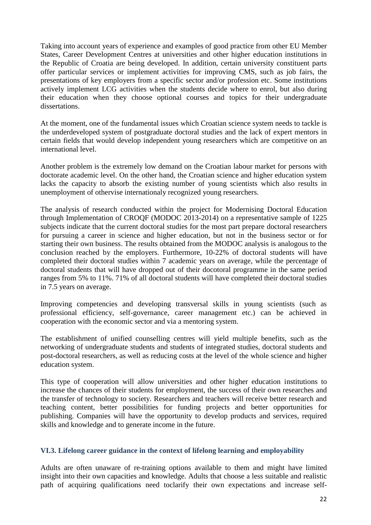Taking into account years of experience and examples of good practice from other EU Member States, Career Development Centres at universities and other higher education institutions in the Republic of Croatia are being developed. In addition, certain university constituent parts offer particular services or implement activities for improving CMS, such as job fairs, the presentations of key employers from a specific sector and/or profession etc. Some institutions actively implement LCG activities when the students decide where to enrol, but also during their education when they choose optional courses and topics for their undergraduate dissertations.

At the moment, one of the fundamental issues which Croatian science system needs to tackle is the underdeveloped system of postgraduate doctoral studies and the lack of expert mentors in certain fields that would develop independent young researchers which are competitive on an international level.

Another problem is the extremely low demand on the Croatian labour market for persons with doctorate academic level. On the other hand, the Croatian science and higher education system lacks the capacity to absorb the existing number of young scientists which also results in unemployment of othervise internationaly recognized young researchers.

The analysis of research conducted within the project for Modernising Doctoral Education through Implementation of CROQF (MODOC 2013-2014) on a representative sample of 1225 subjects indicate that the current doctoral studies for the most part prepare doctoral researchers for pursuing a career in science and higher education, but not in the business sector or for starting their own business. The results obtained from the MODOC analysis is analogous to the conclusion reached by the employers. Furthermore, 10-22% of doctoral students will have completed their doctoral studies within 7 academic years on average, while the percentage of doctoral students that will have dropped out of their docotoral programme in the same period ranges from 5% to 11%. 71% of all doctoral students will have completed their doctoral studies in 7.5 years on average.

Improving competencies and developing transversal skills in young scientists (such as professional efficiency, self-governance, career management etc.) can be achieved in cooperation with the economic sector and via a mentoring system.

The establishment of unified counselling centres will yield multiple benefits, such as the networking of undergraduate students and students of integrated studies, doctoral students and post-doctoral researchers, as well as reducing costs at the level of the whole science and higher education system.

This type of cooperation will allow universities and other higher education institutions to increase the chances of their students for employment, the success of their own researches and the transfer of technology to society. Researchers and teachers will receive better research and teaching content, better possibilities for funding projects and better opportunities for publishing. Companies will have the opportunity to develop products and services, required skills and knowledge and to generate income in the future.

## **VI.3. Lifelong career guidance in the context of lifelong learning and employability**

Adults are often unaware of re-training options available to them and might have limited insight into their own capacities and knowledge. Adults that choose a less suitable and realistic path of acquiring qualifications need toclarify their own expectations and increase self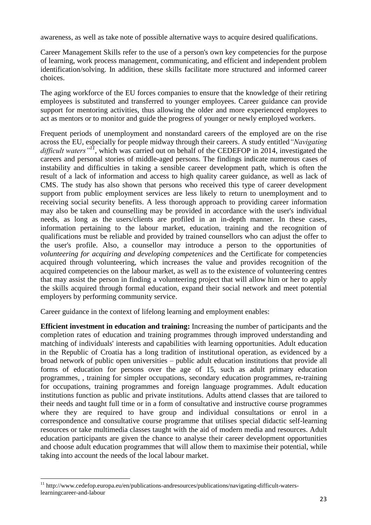awareness, as well as take note of possible alternative ways to acquire desired qualifications.

Career Management Skills refer to the use of a person's own key competencies for the purpose of learning, work process management, communicating, and efficient and independent problem identification/solving. In addition, these skills facilitate more structured and informed career choices.

The aging workforce of the EU forces companies to ensure that the knowledge of their retiring employees is substituted and transferred to younger employees. Career guidance can provide support for mentoring activities, thus allowing the older and more experienced employees to act as mentors or to monitor and guide the progress of younger or newly employed workers.

Frequent periods of unemployment and nonstandard careers of the employed are on the rise across the EU, especially for people midway through their careers. A study entitled*"Navigating difficult waters"<sup>11</sup>*, which was carried out on behalf of the CEDEFOP in 2014, investigated the careers and personal stories of middle-aged persons. The findings indicate numerous cases of instability and difficulties in taking a sensible career development path, which is often the result of a lack of information and access to high quality career guidance, as well as lack of CMS. The study has also shown that persons who received this type of career development support from public employment services are less likely to return to unemployment and to receiving social security benefits. A less thorough approach to providing career information may also be taken and counselling may be provided in accordance with the user's individual needs, as long as the users/clients are profiled in an in-depth manner. In these cases, information pertaining to the labour market, education, training and the recognition of qualifications must be reliable and provided by trained counsellors who can adjust the offer to the user's profile. Also, a counsellor may introduce a person to the opportunities of *volunteering for acquiring and developing competenices* and the Certificate for competencies acquired through volunteering, which increases the value and provides recognition of the acquired competencies on the labour market, as well as to the existence of volunteering centres that may assist the person in finding a volunteering project that will allow him or her to apply the skills acquired through formal education, expand their social network and meet potential employers by performing community service.

Career guidance in the context of lifelong learning and employment enables:

**Efficient investment in education and training:** Increasing the number of participants and the completion rates of education and training programmes through improved understanding and matching of individuals' interests and capabilities with learning opportunities. Adult education in the Republic of Croatia has a long tradition of institutional operation, as evidenced by a broad network of public open universities – public adult education institutions that provide all forms of education for persons over the age of 15, such as adult primary education programmes, , training for simpler occupations, secondary education programmes, re-training for occupations, training programmes and foreign language programmes. Adult education institutions function as public and private institutions. Adults attend classes that are tailored to their needs and taught full time or in a form of consultative and instructive course programmes where they are required to have group and individual consultations or enrol in a correspondence and consultative course programme that utilises special didactic self-learning resources or take multimedia classes taught with the aid of modern media and resources. Adult education participants are given the chance to analyse their career development opportunities and choose adult education programmes that will allow them to maximise their potential, while taking into account the needs of the local labour market.

 $\overline{a}$ 

<sup>&</sup>lt;sup>11</sup> http://www.cedefop.europa.eu/en/publications-andresources/publications/navigating-difficult-waterslearningcareer-and-labour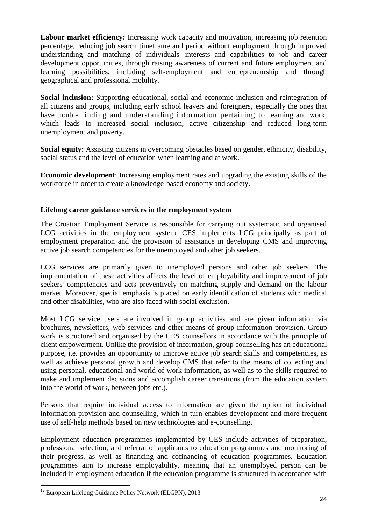Labour market efficiency: Increasing work capacity and motivation, increasing job retention percentage, reducing job search timeframe and period without employment through improved understanding and matching of individuals' interests and capabilities to job and career development opportunities, through raising awareness of current and future employment and learning possibilities, including self-employment and entrepreneurship and through geographical and professional mobility.

**Social inclusion:** Supporting educational, social and economic inclusion and reintegration of all citizens and groups, including early school leavers and foreigners, especially the ones that have trouble finding and understanding information pertaining to learning and work, which leads to increased social inclusion, active citizenship and reduced long-term unemployment and poverty.

**Social equity:** Assisting citizens in overcoming obstacles based on gender, ethnicity, disability, social status and the level of education when learning and at work.

**Economic development**: Increasing employment rates and upgrading the existing skills of the workforce in order to create a knowledge-based economy and society.

## **Lifelong career guidance services in the employment system**

The Croatian Employment Service is responsible for carrying out systematic and organised LCG activities in the employment system. CES implements LCG principally as part of employment preparation and the provision of assistance in developing CMS and improving active job search competencies for the unemployed and other job seekers.

LCG services are primarily given to unemployed persons and other job seekers. The implementation of these activities affects the level of employability and improvement of job seekers' competencies and acts preventively on matching supply and demand on the labour market. Moreover, special emphasis is placed on early identification of students with medical and other disabilities, who are also faced with social exclusion.

Most LCG service users are involved in group activities and are given information via brochures, newsletters, web services and other means of group information provision. Group work is structured and organised by the CES counsellors in accordance with the principle of client empowerment. Unlike the provision of information, group counselling has an educational purpose, i.e. provides an opportunity to improve active job search skills and competencies, as well as achieve personal growth and develop CMS that refer to the means of collecting and using personal, educational and world of work information, as well as to the skills required to make and implement decisions and accomplish career transitions (from the education system into the world of work, between jobs etc.). $^{12}$ 

Persons that require individual access to information are given the option of individual information provision and counselling, which in turn enables development and more frequent use of self-help methods based on new technologies and e-counselling.

Employment education programmes implemented by CES include activities of preparation, professional selection, and referral of applicants to education programmes and monitoring of their progress, as well as financing and cofinancing of education programmes. Education programmes aim to increase employability, meaning that an unemployed person can be included in employment education if the education programme is structured in accordance with

 $\overline{a}$ 

<sup>&</sup>lt;sup>12</sup> European Lifelong Guidance Policy Network (ELGPN), 2013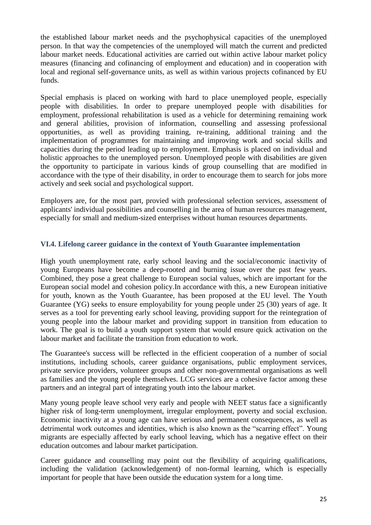the established labour market needs and the psychophysical capacities of the unemployed person. In that way the competencies of the unemployed will match the current and predicted labour market needs. Educational activities are carried out within active labour market policy measures (financing and cofinancing of employment and education) and in cooperation with local and regional self-governance units, as well as within various projects cofinanced by EU funds.

Special emphasis is placed on working with hard to place unemployed people, especially people with disabilities. In order to prepare unemployed people with disabilities for employment, professional rehabilitation is used as a vehicle for determining remaining work and general abilities, provision of information, counselling and assessing professional opportunities, as well as providing training, re-training, additional training and the implementation of programmes for maintaining and improving work and social skills and capacities during the period leading up to employment. Emphasis is placed on individual and holistic approaches to the unemployed person. Unemployed people with disabilities are given the opportunity to participate in various kinds of group counselling that are modified in accordance with the type of their disability, in order to encourage them to search for jobs more actively and seek social and psychological support.

Employers are, for the most part, provied with professional selection services, assessment of applicants' individual possibilities and counselling in the area of human resources management, especially for small and medium-sized enterprises without human resources departments.

#### **VI.4. Lifelong career guidance in the context of Youth Guarantee implementation**

High youth unemployment rate, early school leaving and the social/economic inactivity of young Europeans have become a deep-rooted and burning issue over the past few years. Combined, they pose a great challenge to European social values, which are important for the European social model and cohesion policy.In accordance with this, a new European initiative for youth, known as the Youth Guarantee, has been proposed at the EU level. The Youth Guarantee (YG) seeks to ensure employability for young people under 25 (30) years of age. It serves as a tool for preventing early school leaving, providing support for the reintegration of young people into the labour market and providing support in transition from education to work. The goal is to build a youth support system that would ensure quick activation on the labour market and facilitate the transition from education to work.

The Guarantee's success will be reflected in the efficient cooperation of a number of social institutions, including schools, career guidance organisations, public employment services, private service providers, volunteer groups and other non-governmental organisations as well as families and the young people themselves. LCG services are a cohesive factor among these partners and an integral part of integrating youth into the labour market.

Many young people leave school very early and people with NEET status face a significantly higher risk of long-term unemployment, irregular employment, poverty and social exclusion. Economic inactivity at a young age can have serious and permanent consequences, as well as detrimental work outcomes and identities, which is also known as the "scarring effect". Young migrants are especially affected by early school leaving, which has a negative effect on their education outcomes and labour market participation.

Career guidance and counselling may point out the flexibility of acquiring qualifications, including the validation (acknowledgement) of non-formal learning, which is especially important for people that have been outside the education system for a long time.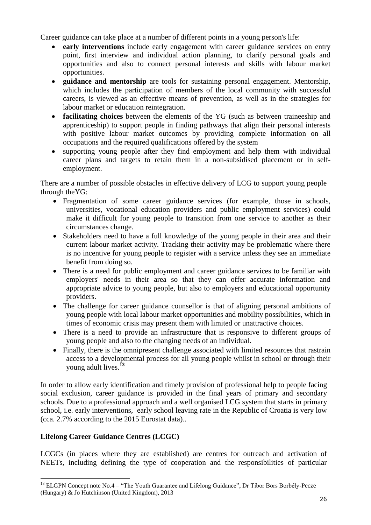Career guidance can take place at a number of different points in a young person's life:

- **early interventions** include early engagement with career guidance services on entry point, first interview and individual action planning, to clarify personal goals and opportunities and also to connect personal interests and skills with labour market opportunities.
- **guidance and mentorship** are tools for sustaining personal engagement. Mentorship, which includes the participation of members of the local community with successful careers, is viewed as an effective means of prevention, as well as in the strategies for labour market or education reintegration.
- **facilitating choices** between the elements of the YG (such as between traineeship and apprenticeship) to support people in finding pathways that align their personal interests with positive labour market outcomes by providing complete information on all occupations and the required qualifications offered by the system
- supporting young people after they find employment and help them with individual career plans and targets to retain them in a non-subsidised placement or in selfemployment.

There are a number of possible obstacles in effective delivery of LCG to support young people through theYG:

- Fragmentation of some career guidance services (for example, those in schools, universities, vocational education providers and public employment services) could make it difficult for young people to transition from one service to another as their circumstances change.
- Stakeholders need to have a full knowledge of the young people in their area and their current labour market activity. Tracking their activity may be problematic where there is no incentive for young people to register with a service unless they see an immediate benefit from doing so.
- There is a need for public employment and career guidance services to be familiar with employers' needs in their area so that they can offer accurate information and appropriate advice to young people, but also to employers and educational opportunity providers.
- The challenge for career guidance counsellor is that of aligning personal ambitions of young people with local labour market opportunities and mobility possibilities, which in times of economic crisis may present them with limited or unattractive choices.
- There is a need to provide an infrastructure that is responsive to different groups of young people and also to the changing needs of an individual.
- Finally, there is the omnipresent challenge associated with limited resources that rastrain access to a developmental process for all young people whilst in school or through their young adult lives. **13**

In order to allow early identification and timely provision of professional help to people facing social exclusion, career guidance is provided in the final years of primary and secondary schools. Due to a professional approach and a well organised LCG system that starts in primary school, i.e. early interventions, early school leaving rate in the Republic of Croatia is very low (cca. 2.7% according to the 2015 Eurostat data)..

## **Lifelong Career Guidance Centres (LCGC)**

 $\overline{a}$ 

LCGCs (in places where they are established) are centres for outreach and activation of NEETs, including defining the type of cooperation and the responsibilities of particular

<sup>&</sup>lt;sup>13</sup> ELGPN Concept note No.4 – "The Youth Guarantee and Lifelong Guidance", Dr Tibor Bors Borbély-Pecze (Hungary) & Jo Hutchinson (United Kingdom), 2013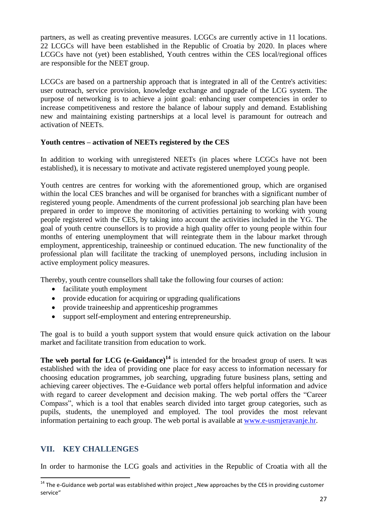partners, as well as creating preventive measures. LCGCs are currently active in 11 locations. 22 LCGCs will have been established in the Republic of Croatia by 2020. In places where LCGCs have not (yet) been established, Youth centres within the CES local/regional offices are responsible for the NEET group.

LCGCs are based on a partnership approach that is integrated in all of the Centre's activities: user outreach, service provision, knowledge exchange and upgrade of the LCG system. The purpose of networking is to achieve a joint goal: enhancing user competencies in order to increase competitiveness and restore the balance of labour supply and demand. Establishing new and maintaining existing partnerships at a local level is paramount for outreach and activation of NEETs.

#### **Youth centres – activation of NEETs registered by the CES**

In addition to working with unregistered NEETs (in places where LCGCs have not been established), it is necessary to motivate and activate registered unemployed young people.

Youth centres are centres for working with the aforementioned group, which are organised within the local CES branches and will be organised for branches with a significant number of registered young people. Amendments of the current professional job searching plan have been prepared in order to improve the monitoring of activities pertaining to working with young people registered with the CES, by taking into account the activities included in the YG. The goal of youth centre counsellors is to provide a high quality offer to young people within four months of entering unemployment that will reintegrate them in the labour market through employment, apprenticeship, traineeship or continued education. The new functionality of the professional plan will facilitate the tracking of unemployed persons, including inclusion in active employment policy measures.

Thereby, youth centre counsellors shall take the following four courses of action:

- facilitate youth employment
- provide education for acquiring or upgrading qualifications
- provide traineeship and apprenticeship programmes
- support self-employment and entering entrepreneurship.

The goal is to build a youth support system that would ensure quick activation on the labour market and facilitate transition from education to work.

**The web portal for LCG (e-Guidance) <sup>14</sup>** is intended for the broadest group of users. It was established with the idea of providing one place for easy access to information necessary for choosing education programmes, job searching, upgrading future business plans, setting and achieving career objectives. The e-Guidance web portal offers helpful information and advice with regard to career development and decision making. The web portal offers the "Career Compass", which is a tool that enables search divided into target group categories, such as pupils, students, the unemployed and employed. The tool provides the most relevant information pertaining to each group. The web portal is available at [www.e-usmjeravanje.hr.](http://www.e-usmjeravanje.hr/)

## **VII. KEY CHALLENGES**

 $\overline{a}$ 

In order to harmonise the LCG goals and activities in the Republic of Croatia with all the

 $14$  The e-Guidance web portal was established within project "New approaches by the CES in providing customer service"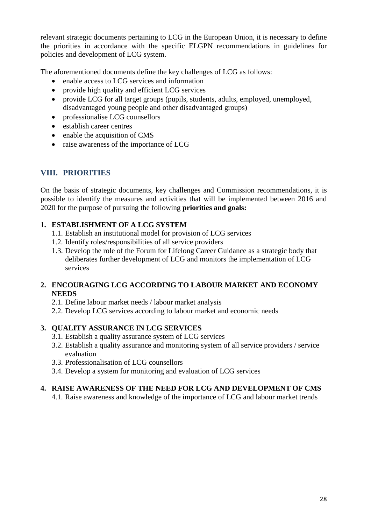relevant strategic documents pertaining to LCG in the European Union, it is necessary to define the priorities in accordance with the specific ELGPN recommendations in guidelines for policies and development of LCG system.

The aforementioned documents define the key challenges of LCG as follows:

- enable access to LCG services and information
- provide high quality and efficient LCG services
- provide LCG for all target groups (pupils, students, adults, employed, unemployed, disadvantaged young people and other disadvantaged groups)
- professionalise LCG counsellors
- establish career centres
- enable the acquisition of CMS
- raise awareness of the importance of LCG

## **VIII. PRIORITIES**

On the basis of strategic documents, key challenges and Commission recommendations, it is possible to identify the measures and activities that will be implemented between 2016 and 2020 for the purpose of pursuing the following **priorities and goals:**

## **1. ESTABLISHMENT OF A LCG SYSTEM**

- 1.1. Establish an institutional model for provision of LCG services
- 1.2. Identify roles/responsibilities of all service providers
- 1.3. Develop the role of the Forum for Lifelong Career Guidance as a strategic body that deliberates further development of LCG and monitors the implementation of LCG services

## **2. ENCOURAGING LCG ACCORDING TO LABOUR MARKET AND ECONOMY NEEDS**

- 2.1. Define labour market needs / labour market analysis
- 2.2. Develop LCG services according to labour market and economic needs

## **3. QUALITY ASSURANCE IN LCG SERVICES**

- 3.1. Establish a quality assurance system of LCG services
- 3.2. Establish a quality assurance and monitoring system of all service providers / service evaluation
- 3.3. Professionalisation of LCG counsellors
- 3.4. Develop a system for monitoring and evaluation of LCG services

## **4. RAISE AWARENESS OF THE NEED FOR LCG AND DEVELOPMENT OF CMS**

4.1. Raise awareness and knowledge of the importance of LCG and labour market trends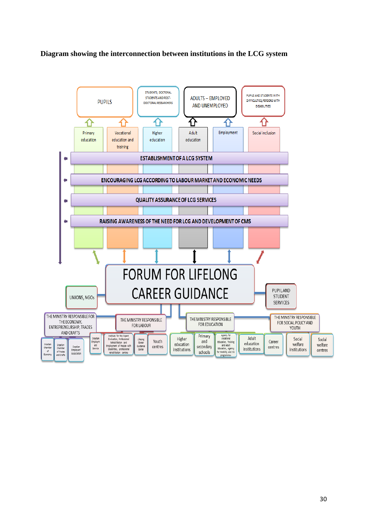#### **Diagram showing the interconnection between institutions in the LCG system**

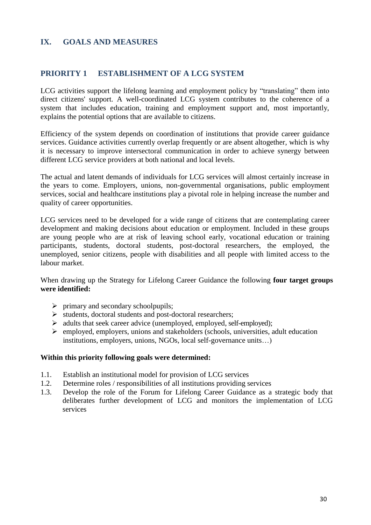## **IX. GOALS AND MEASURES**

## **PRIORITY 1 ESTABLISHMENT OF A LCG SYSTEM**

LCG activities support the lifelong learning and employment policy by "translating" them into direct citizens' support. A well-coordinated LCG system contributes to the coherence of a system that includes education, training and employment support and, most importantly, explains the potential options that are available to citizens.

Efficiency of the system depends on coordination of institutions that provide career guidance services. Guidance activities currently overlap frequently or are absent altogether, which is why it is necessary to improve intersectoral communication in order to achieve synergy between different LCG service providers at both national and local levels.

The actual and latent demands of individuals for LCG services will almost certainly increase in the years to come. Employers, unions, non-governmental organisations, public employment services, social and healthcare institutions play a pivotal role in helping increase the number and quality of career opportunities.

LCG services need to be developed for a wide range of citizens that are contemplating career development and making decisions about education or employment. Included in these groups are young people who are at risk of leaving school early, vocational education or training participants, students, doctoral students, post-doctoral researchers, the employed, the unemployed, senior citizens, people with disabilities and all people with limited access to the labour market.

When drawing up the Strategy for Lifelong Career Guidance the following **four target groups were identified:**

- $\triangleright$  primary and secondary schoolpupils;
- $\triangleright$  students, doctoral students and post-doctoral researchers;
- $\triangleright$  adults that seek career advice (unemployed, employed, self-employed);
- $\triangleright$  employed, employers, unions and stakeholders (schools, universities, adult education institutions, employers, unions, NGOs, local self-governance units…)

#### **Within this priority following goals were determined:**

- 1.1. Establish an institutional model for provision of LCG services
- 1.2. Determine roles / responsibilities of all institutions providing services
- 1.3. Develop the role of the Forum for Lifelong Career Guidance as a strategic body that deliberates further development of LCG and monitors the implementation of LCG services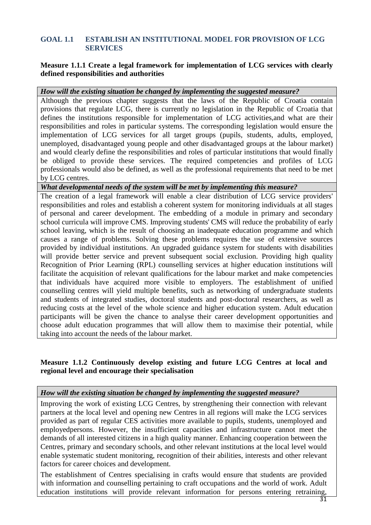## **GOAL 1.1 ESTABLISH AN INSTITUTIONAL MODEL FOR PROVISION OF LCG SERVICES**

#### **Measure 1.1.1 Create a legal framework for implementation of LCG services with clearly defined responsibilities and authorities**

#### *How will the existing situation be changed by implementing the suggested measure?*

Although the previous chapter suggests that the laws of the Republic of Croatia contain provisions that regulate LCG, there is currently no legislation in the Republic of Croatia that defines the institutions responsible for implementation of LCG activities,and what are their responsibilities and roles in particular systems. The corresponding legislation would ensure the implementation of LCG services for all target groups (pupils, students, adults, employed, unemployed, disadvantaged young people and other disadvantaged groups at the labour market) and would clearly define the responsibilities and roles of particular institutions that would finally be obliged to provide these services. The required competencies and profiles of LCG professionals would also be defined, as well as the professional requirements that need to be met by LCG centres.

*What developmental needs of the system will be met by implementing this measure?*

The creation of a legal framework will enable a clear distribution of LCG service providers' responsibilities and roles and establish a coherent system for monitoring individuals at all stages of personal and career development. The embedding of a module in primary and secondary school curricula will improve CMS. Improving students' CMS will reduce the probability of early school leaving, which is the result of choosing an inadequate education programme and which causes a range of problems. Solving these problems requires the use of extensive sources provided by individual institutions. An upgraded guidance system for students with disabilities will provide better service and prevent subsequent social exclusion. Providing high quality Recognition of Prior Learning (RPL) counselling services at higher education institutions will facilitate the acquisition of relevant qualifications for the labour market and make competencies that individuals have acquired more visible to employers. The establishment of unified counselling centres will yield multiple benefits, such as networking of undergraduate students and students of integrated studies, doctoral students and post-doctoral researchers, as well as reducing costs at the level of the whole science and higher education system. Adult education participants will be given the chance to analyse their career development opportunities and choose adult education programmes that will allow them to maximise their potential, while taking into account the needs of the labour market.

## **Measure 1.1.2 Continuously develop existing and future LCG Centres at local and regional level and encourage their specialisation**

#### *How will the existing situation be changed by implementing the suggested measure?*

Improving the work of existing LCG Centres, by strengthening their connection with relevant partners at the local level and opening new Centres in all regions will make the LCG services provided as part of regular CES activities more available to pupils, students, unemployed and employedpersons. However, the insufficient capacities and infrastructure cannot meet the demands of all interested citizens in a high quality manner. Enhancing cooperation between the Centres, primary and secondary schools, and other relevant institutions at the local level would enable systematic student monitoring, recognition of their abilities, interests and other relevant factors for career choices and development.

The establishment of Centres specialising in crafts would ensure that students are provided with information and counselling pertaining to craft occupations and the world of work. Adult education institutions will provide relevant information for persons entering retraining,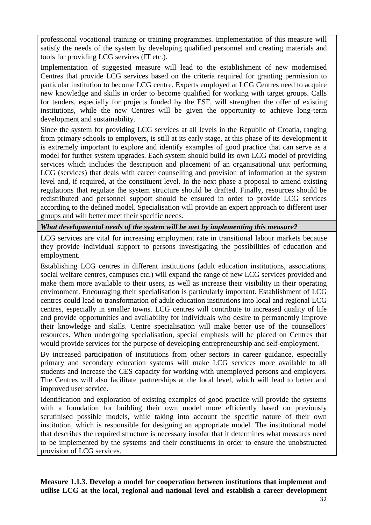professional vocational training or training programmes. Implementation of this measure will satisfy the needs of the system by developing qualified personnel and creating materials and tools for providing LCG services (IT etc.).

Implementation of suggested measure will lead to the establishment of new modernised Centres that provide LCG services based on the criteria required for granting permission to particular institution to become LCG centre. Experts employed at LCG Centres need to acquire new knowledge and skills in order to become qualified for working with target groups. Calls for tenders, especially for projects funded by the ESF, will strengthen the offer of existing institutions, while the new Centres will be given the opportunity to achieve long-term development and sustainability.

Since the system for providing LCG services at all levels in the Republic of Croatia, ranging from primary schools to employers, is still at its early stage, at this phase of its development it is extremely important to explore and identify examples of good practice that can serve as a model for further system upgrades. Each system should build its own LCG model of providing services which includes the description and placement of an organisational unit performing LCG (services) that deals with career counselling and provision of information at the system level and, if required, at the constituent level. In the next phase a proposal to amend existing regulations that regulate the system structure should be drafted. Finally, resources should be redistributed and personnel support should be ensured in order to provide LCG services according to the defined model. Specialisation will provide an expert approach to different user groups and will better meet their specific needs.

*What developmental needs of the system will be met by implementing this measure?*

LCG services are vital for increasing employment rate in transitional labour markets because they provide individual support to persons investigating the possibilities of education and employment.

Establishing LCG centres in different institutions (adult education institutions, associations, social welfare centres, campuses etc.) will expand the range of new LCG services provided and make them more available to their users, as well as increase their visibility in their operating environment. Encouraging their specialisation is particularly important. Establishment of LCG centres could lead to transformation of adult education institutions into local and regional LCG centres, especially in smaller towns. LCG centres will contribute to increased quality of life and provide opportunities and availability for individuals who desire to permanently improve their knowledge and skills. Centre specialisation will make better use of the counsellors' resources. When undergoing specialisation, special emphasis will be placed on Centres that would provide services for the purpose of developing entrepreneurship and self-employment.

By increased participation of institutions from other sectors in career guidance, especially primary and secondary education systems will make LCG services more available to all students and increase the CES capacity for working with unemployed persons and employers. The Centres will also facilitate partnerships at the local level, which will lead to better and improved user service.

Identification and exploration of existing examples of good practice will provide the systems with a foundation for building their own model more efficiently based on previously scrutinised possible models, while taking into account the specific nature of their own institution, which is responsible for designing an appropriate model. The institutional model that describes the required structure is necessary insofar that it determines what measures need to be implemented by the systems and their constituents in order to ensure the unobstructed provision of LCG services.

**Measure 1.1.3. Develop a model for cooperation between institutions that implement and utilise LCG at the local, regional and national level and establish a career development**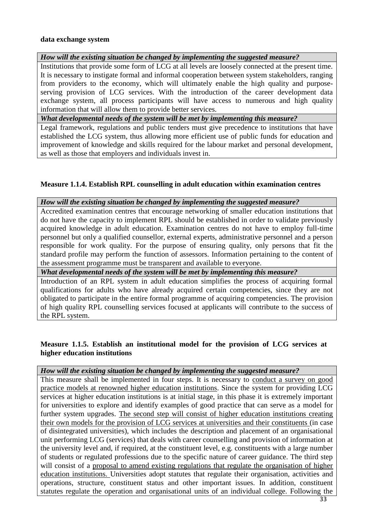#### **data exchange system**

## *How will the existing situation be changed by implementing the suggested measure?*

Institutions that provide some form of LCG at all levels are loosely connected at the present time. It is necessary to instigate formal and informal cooperation between system stakeholders, ranging from providers to the economy, which will ultimately enable the high quality and purposeserving provision of LCG services. With the introduction of the career development data exchange system, all process participants will have access to numerous and high quality information that will allow them to provide better services.

*What developmental needs of the system will be met by implementing this measure?*

Legal framework, regulations and public tenders must give precedence to institutions that have established the LCG system, thus allowing more efficient use of public funds for education and improvement of knowledge and skills required for the labour market and personal development, as well as those that employers and individuals invest in.

## **Measure 1.1.4. Establish RPL counselling in adult education within examination centres**

#### *How will the existing situation be changed by implementing the suggested measure?*

Accredited examination centres that encourage networking of smaller education institutions that do not have the capacity to implement RPL should be established in order to validate previously acquired knowledge in adult education. Examination centres do not have to employ full-time personnel but only a qualified counsellor, external experts, administrative personnel and a person responsible for work quality. For the purpose of ensuring quality, only persons that fit the standard profile may perform the function of assessors. Information pertaining to the content of the assessment programme must be transparent and available to everyone.

*What developmental needs of the system will be met by implementing this measure?*

Introduction of an RPL system in adult education simplifies the process of acquiring formal qualifications for adults who have already acquired certain competencies, since they are not obligated to participate in the entire formal programme of acquiring competencies. The provision of high quality RPL counselling services focused at applicants will contribute to the success of the RPL system.

#### **Measure 1.1.5. Establish an institutional model for the provision of LCG services at higher education institutions**

#### *How will the existing situation be changed by implementing the suggested measure?*

This measure shall be implemented in four steps. It is necessary to conduct a survey on good practice models at renowned higher education institutions. Since the system for providing LCG services at higher education institutions is at initial stage, in this phase it is extremely important for universities to explore and identify examples of good practice that can serve as a model for further system upgrades. The second step will consist of higher education institutions creating their own models for the provision of LCG services at universities and their constituents (in case of disintegrated universities), which includes the description and placement of an organisational unit performing LCG (services) that deals with career counselling and provision of information at the university level and, if required, at the constituent level, e.g. constituents with a large number of students or regulated professions due to the specific nature of career guidance. The third step will consist of a proposal to amend existing regulations that regulate the organisation of higher education institutions. Universities adopt statutes that regulate their organisation, activities and operations, structure, constituent status and other important issues. In addition, constituent statutes regulate the operation and organisational units of an individual college. Following the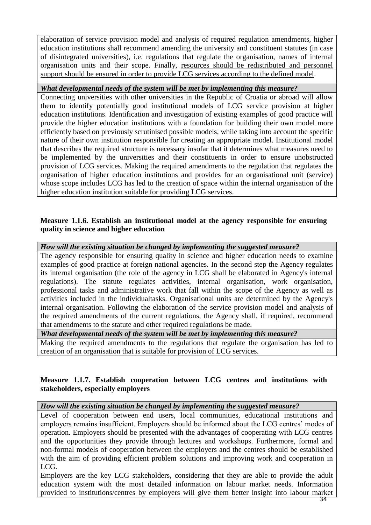elaboration of service provision model and analysis of required regulation amendments, higher education institutions shall recommend amending the university and constituent statutes (in case of disintegrated universities), i.e. regulations that regulate the organisation, names of internal organisation units and their scope. Finally, resources should be redistributed and personnel support should be ensured in order to provide LCG services according to the defined model.

#### *What developmental needs of the system will be met by implementing this measure?*

Connecting universities with other universities in the Republic of Croatia or abroad will allow them to identify potentially good institutional models of LCG service provision at higher education institutions. Identification and investigation of existing examples of good practice will provide the higher education institutions with a foundation for building their own model more efficiently based on previously scrutinised possible models, while taking into account the specific nature of their own institution responsible for creating an appropriate model. Institutional model that describes the required structure is necessary insofar that it determines what measures need to be implemented by the universities and their constituents in order to ensure unobstructed provision of LCG services. Making the required amendments to the regulation that regulates the organisation of higher education institutions and provides for an organisational unit (service) whose scope includes LCG has led to the creation of space within the internal organisation of the higher education institution suitable for providing LCG services.

#### **Measure 1.1.6. Establish an institutional model at the agency responsible for ensuring quality in science and higher education**

#### *How will the existing situation be changed by implementing the suggested measure?*

The agency responsible for ensuring quality in science and higher education needs to examine examples of good practice at foreign national agencies. In the second step the Agency regulates its internal organisation (the role of the agency in LCG shall be elaborated in Agency's internal regulations). The statute regulates activities, internal organisation, work organisation, professional tasks and administrative work that fall within the scope of the Agency as well as activities included in the individualtasks. Organisational units are determined by the Agency's internal organisation. Following the elaboration of the service provision model and analysis of the required amendments of the current regulations, the Agency shall, if required, recommend that amendments to the statute and other required regulations be made.

#### *What developmental needs of the system will be met by implementing this measure?*

Making the required amendments to the regulations that regulate the organisation has led to creation of an organisation that is suitable for provision of LCG services.

## **Measure 1.1.7. Establish cooperation between LCG centres and institutions with stakeholders, especially employers**

#### *How will the existing situation be changed by implementing the suggested measure?*

Level of cooperation between end users, local communities, educational institutions and employers remains insufficient. Employers should be informed about the LCG centres' modes of operation. Employers should be presented with the advantages of cooperating with LCG centres and the opportunities they provide through lectures and workshops. Furthermore, formal and non-formal models of cooperation between the employers and the centres should be established with the aim of providing efficient problem solutions and improving work and cooperation in LCG.

Employers are the key LCG stakeholders, considering that they are able to provide the adult education system with the most detailed information on labour market needs. Information provided to institutions/centres by employers will give them better insight into labour market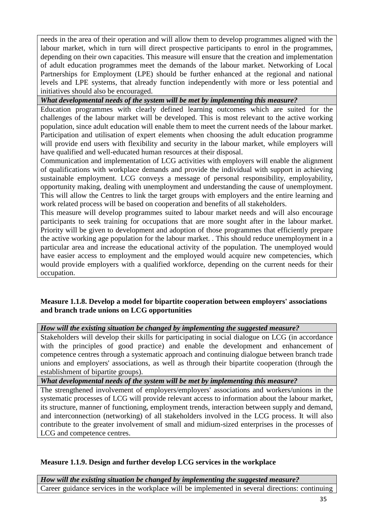needs in the area of their operation and will allow them to develop programmes aligned with the labour market, which in turn will direct prospective participants to enrol in the programmes, depending on their own capacities. This measure will ensure that the creation and implementation of adult education programmes meet the demands of the labour market. Networking of Local Partnerships for Employment (LPE) should be further enhanced at the regional and national levels and LPE systems, that already function independently with more or less potential and initiatives should also be encouraged.

## *What developmental needs of the system will be met by implementing this measure?*

Education programmes with clearly defined learning outcomes which are suited for the challenges of the labour market will be developed. This is most relevant to the active working population, since adult education will enable them to meet the current needs of the labour market. Participation and utilisation of expert elements when choosing the adult education programme will provide end users with flexibility and security in the labour market, while employers will have qualified and well-educated human resources at their disposal.

Communication and implementation of LCG activities with employers will enable the alignment of qualifications with workplace demands and provide the individual with support in achieving sustainable employment. LCG conveys a message of personal responsibility, employability, opportunity making, dealing with unemployment and understanding the cause of unemployment. This will allow the Centres to link the target groups with employers and the entire learning and work related process will be based on cooperation and benefits of all stakeholders.

This measure will develop programmes suited to labour market needs and will also encourage participants to seek training for occupations that are more sought after in the labour market. Priority will be given to development and adoption of those programmes that efficiently prepare the active working age population for the labour market. . This should reduce unemployment in a particular area and increase the educational activity of the population. The unemployed would have easier access to employment and the employed would acquire new competencies, which would provide employers with a qualified workforce, depending on the current needs for their occupation.

## **Measure 1.1.8. Develop a model for bipartite cooperation between employers' associations and branch trade unions on LCG opportunities**

*How will the existing situation be changed by implementing the suggested measure?*

Stakeholders will develop their skills for participating in social dialogue on LCG (in accordance with the principles of good practice) and enable the development and enhancement of competence centres through a systematic approach and continuing dialogue between branch trade unions and employers' associations, as well as through their bipartite cooperation (through the establishment of bipartite groups).

*What developmental needs of the system will be met by implementing this measure?*

The strengthened involvement of employers/employers' associations and workers/unions in the systematic processes of LCG will provide relevant access to information about the labour market, its structure, manner of functioning, employment trends, interaction between supply and demand, and interconnection (networking) of all stakeholders involved in the LCG process. It will also contribute to the greater involvement of small and midium-sized enterprises in the processes of LCG and competence centres.

## **Measure 1.1.9. Design and further develop LCG services in the workplace**

*How will the existing situation be changed by implementing the suggested measure?* Career guidance services in the workplace will be implemented in several directions: continuing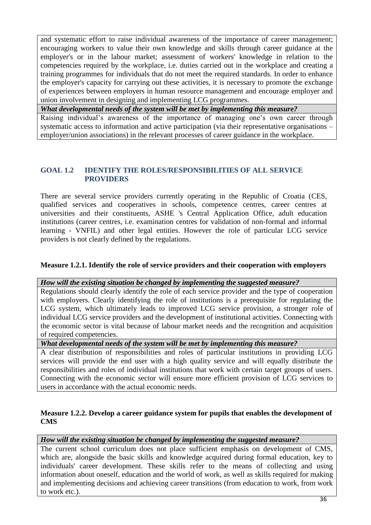and systematic effort to raise individual awareness of the importance of career management; encouraging workers to value their own knowledge and skills through career guidance at the employer's or in the labour market; assessment of workers' knowledge in relation to the competencies required by the workplace, i.e. duties carried out in the workplace and creating a training programmes for individuals that do not meet the required standards. In order to enhance the employer's capacity for carrying out these activities, it is necessary to promote the exchange of experiences between employers in human resource management and encourage employer and union involvement in designing and implementing LCG programmes.

*What developmental needs of the system will be met by implementing this measure?*

Raising individual's awareness of the importance of managing one's own career through systematic access to information and active participation (via their representative organisations – employer/union associations) in the relevant processes of career guidance in the workplace.

## **GOAL 1.2 IDENTIFY THE ROLES/RESPONSIBILITIES OF ALL SERVICE PROVIDERS**

There are several service providers currently operating in the Republic of Croatia (CES, qualified services and cooperatives in schools, competence centres, career centres at universities and their constituents, ASHE 's Central Application Office, adult education institutions (career centres, i.e. examination centres for validation of non-formal and informal learning - VNFIL) and other legal entities. However the role of particular LCG service providers is not clearly defined by the regulations.

## **Measure 1.2.1. Identify the role of service providers and their cooperation with employers**

*How will the existing situation be changed by implementing the suggested measure?*

Regulations should clearly identify the role of each service provider and the type of cooperation with employers. Clearly identifying the role of institutions is a prerequisite for regulating the LCG system, which ultimately leads to improved LCG service provision, a stronger role of individual LCG service providers and the development of institutional activities. Connecting with the economic sector is vital because of labour market needs and the recognition and acquisition of required competencies.

## *What developmental needs of the system will be met by implementing this measure?*

A clear distribution of responsibilities and roles of particular institutions in providing LCG services will provide the end user with a high quality service and will equally distribute the responsibilities and roles of individual institutions that work with certain target groups of users. Connecting with the economic sector will ensure more efficient provision of LCG services to users in accordance with the actual economic needs.

## **Measure 1.2.2. Develop a career guidance system for pupils that enables the development of CMS**

## *How will the existing situation be changed by implementing the suggested measure?*

The current school curriculum does not place sufficient emphasis on development of CMS, which are, alongside the basic skills and knowledge acquired during formal education, key to individuals' career development. These skills refer to the means of collecting and using information about oneself, education and the world of work, as well as skills required for making and implementing decisions and achieving career transitions (from education to work, from work to work etc.).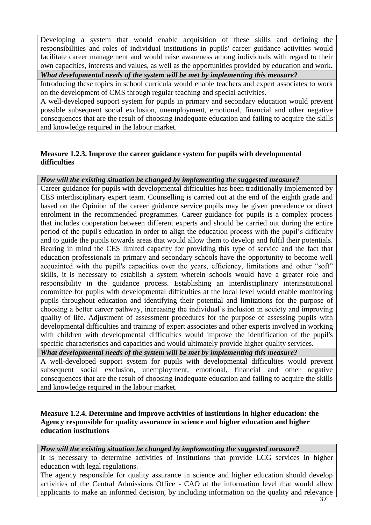Developing a system that would enable acquisition of these skills and defining the responsibilities and roles of individual institutions in pupils' career guidance activities would facilitate career management and would raise awareness among individuals with regard to their own capacities, interests and values, as well as the opportunities provided by education and work.

*What developmental needs of the system will be met by implementing this measure?*

Introducing these topics in school curricula would enable teachers and expert associates to work on the development of CMS through regular teaching and special activities.

A well-developed support system for pupils in primary and secondary education would prevent possible subsequent social exclusion, unemployment, emotional, financial and other negative consequences that are the result of choosing inadequate education and failing to acquire the skills and knowledge required in the labour market.

## **Measure 1.2.3. Improve the career guidance system for pupils with developmental difficulties**

## *How will the existing situation be changed by implementing the suggested measure?*

Career guidance for pupils with developmental difficulties has been traditionally implemented by CES interdisciplinary expert team. Counselling is carried out at the end of the eighth grade and based on the Opinion of the career guidance service pupils may be given precedence or direct enrolment in the recommended programmes. Career guidance for pupils is a complex process that includes cooperation between different experts and should be carried out during the entire period of the pupil's education in order to align the education process with the pupil's difficulty and to guide the pupils towards areas that would allow them to develop and fulfil their potentials. Bearing in mind the CES limited capacity for providing this type of service and the fact that education professionals in primary and secondary schools have the opportunity to become well acquainted with the pupil's capacities over the years, efficiency, limitations and other "soft" skills, it is necessary to establish a system wherein schools would have a greater role and responsibility in the guidance process. Establishing an interdisciplinary interinstitutional committee for pupils with developmental difficulties at the local level would enable monitoring pupils throughout education and identifying their potential and limitations for the purpose of choosing a better career pathway, increasing the individual's inclusion in society and improving quality of life. Adjustment of assessment procedures for the purpose of assessing pupils with developmental difficulties and training of expert associates and other experts involved in working with children with developmental difficulties would improve the identification of the pupil's specific characteristics and capacities and would ultimately provide higher quality services.

*What developmental needs of the system will be met by implementing this measure?*

A well-developed support system for pupils with developmental difficulties would prevent subsequent social exclusion, unemployment, emotional, financial and other negative consequences that are the result of choosing inadequate education and failing to acquire the skills and knowledge required in the labour market.

## **Measure 1.2.4. Determine and improve activities of institutions in higher education: the Agency responsible for quality assurance in science and higher education and higher education institutions**

*How will the existing situation be changed by implementing the suggested measure?*

It is necessary to determine activities of institutions that provide LCG services in higher education with legal regulations.

The agency responsible for quality assurance in science and higher education should develop activities of the Central Admissions Office - CAO at the information level that would allow applicants to make an informed decision, by including information on the quality and relevance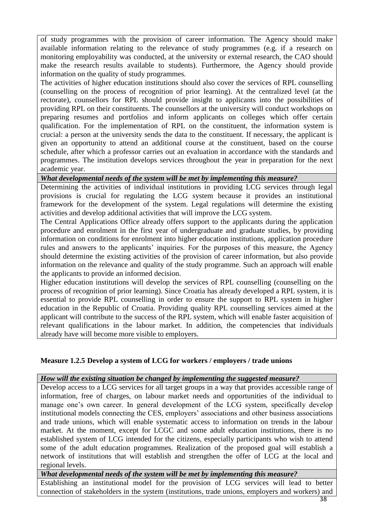of study programmes with the provision of career information. The Agency should make available information relating to the relevance of study programmes (e.g. if a research on monitoring employability was conducted, at the university or external research, the CAO should make the research results available to students). Furthermore, the Agency should provide information on the quality of study programmes.

The activities of higher education institutions should also cover the services of RPL counselling (counselling on the process of recognition of prior learning). At the centralized level (at the rectorate), counsellors for RPL should provide insight to applicants into the possibilities of providing RPL on their constituents. The counsellors at the university will conduct workshops on preparing resumes and portfolios and inform applicants on colleges which offer certain qualification. For the implementation of RPL on the constituent, the information system is crucial: a person at the university sends the data to the constituent. If necessary, the applicant is given an opportunity to attend an additional course at the constituent, based on the course schedule, after which a professor carries out an evaluation in accordance with the standards and programmes. The institution develops services throughout the year in preparation for the next academic year.

*What developmental needs of the system will be met by implementing this measure?*

Determining the activities of individual institutions in providing LCG services through legal provisions is crucial for regulating the LCG system because it provides an institutional framework for the development of the system. Legal regulations will determine the existing activities and develop additional activities that will improve the LCG system.

The Central Applications Office already offers support to the applicants during the application procedure and enrolment in the first year of undergraduate and graduate studies, by providing information on conditions for enrolment into higher education institutions, application procedure rules and answers to the applicants' inquiries. For the purposes of this measure, the Agency should determine the existing activities of the provision of career information, but also provide information on the relevance and quality of the study programme. Such an approach will enable the applicants to provide an informed decision.

Higher education institutions will develop the services of RPL counselling (counselling on the process of recognition of prior learning). Since Croatia has already developed a RPL system, it is essential to provide RPL counselling in order to ensure the support to RPL system in higher education in the Republic of Croatia. Providing quality RPL counselling services aimed at the applicant will contribute to the success of the RPL system, which will enable faster acquisition of relevant qualifications in the labour market. In addition, the competencies that individuals already have will become more visible to employers.

## **Measure 1.2.5 Develop a system of LCG for workers / employers / trade unions**

#### *How will the existing situation be changed by implementing the suggested measure?*

Develop access to a LCG services for all target groups in a way that provides accessible range of information, free of charges, on labour market needs and opportunities of the individual to manage one's own career. In general development of the LCG system, specifically develop institutional models connecting the CES, employers' associations and other business associations and trade unions, which will enable systematic access to information on trends in the labour market. At the moment, except for LCGC and some adult education institutions, there is no established system of LCG intended for the citizens, especially participants who wish to attend some of the adult education programmes. Realization of the proposed goal will establish a network of institutions that will establish and strengthen the offer of LCG at the local and regional levels.

*What developmental needs of the system will be met by implementing this measure?*

Establishing an institutional model for the provision of LCG services will lead to better connection of stakeholders in the system (institutions, trade unions, employers and workers) and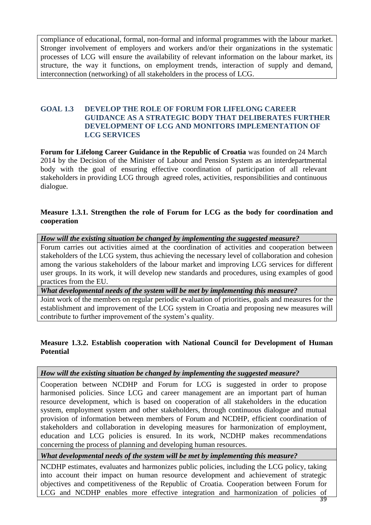compliance of educational, formal, non-formal and informal programmes with the labour market. Stronger involvement of employers and workers and/or their organizations in the systematic processes of LCG will ensure the availability of relevant information on the labour market, its structure, the way it functions, on employment trends, interaction of supply and demand, interconnection (networking) of all stakeholders in the process of LCG.

#### **GOAL 1.3 DEVELOP THE ROLE OF FORUM FOR LIFELONG CAREER GUIDANCE AS A STRATEGIC BODY THAT DELIBERATES FURTHER DEVELOPMENT OF LCG AND MONITORS IMPLEMENTATION OF LCG SERVICES**

**Forum for Lifelong Career Guidance in the Republic of Croatia** was founded on 24 March 2014 by the Decision of the Minister of Labour and Pension System as an interdepartmental body with the goal of ensuring effective coordination of participation of all relevant stakeholders in providing LCG through agreed roles, activities, responsibilities and continuous dialogue.

## **Measure 1.3.1. Strengthen the role of Forum for LCG as the body for coordination and cooperation**

*How will the existing situation be changed by implementing the suggested measure?*

Forum carries out activities aimed at the coordination of activities and cooperation between stakeholders of the LCG system, thus achieving the necessary level of collaboration and cohesion among the various stakeholders of the labour market and improving LCG services for different user groups. In its work, it will develop new standards and procedures, using examples of good practices from the EU.

*What developmental needs of the system will be met by implementing this measure?*

Joint work of the members on regular periodic evaluation of priorities, goals and measures for the establishment and improvement of the LCG system in Croatia and proposing new measures will contribute to further improvement of the system's quality.

## **Measure 1.3.2. Establish cooperation with National Council for Development of Human Potential**

## *How will the existing situation be changed by implementing the suggested measure?*

Cooperation between NCDHP and Forum for LCG is suggested in order to propose harmonised policies. Since LCG and career management are an important part of human resource development, which is based on cooperation of all stakeholders in the education system, employment system and other stakeholders, through continuous dialogue and mutual provision of information between members of Forum and NCDHP, efficient coordination of stakeholders and collaboration in developing measures for harmonization of employment, education and LCG policies is ensured. In its work, NCDHP makes recommendations concerning the process of planning and developing human resources.

*What developmental needs of the system will be met by implementing this measure?*

NCDHP estimates, evaluates and harmonizes public policies, including the LCG policy, taking into account their impact on human resource development and achievement of strategic objectives and competitiveness of the Republic of Croatia. Cooperation between Forum for LCG and NCDHP enables more effective integration and harmonization of policies of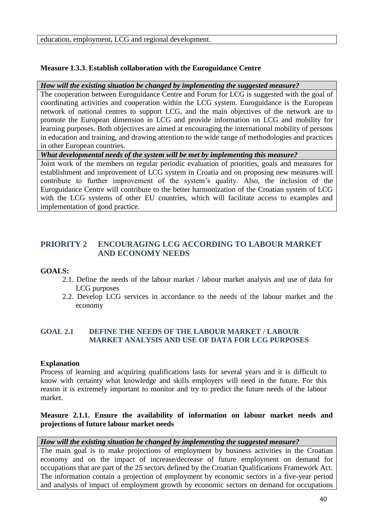education, employment, LCG and regional development.

## **Measure 1.3.3. Establish collaboration with the Euroguidance Centre**

*How will the existing situation be changed by implementing the suggested measure?*

The cooperation between Euroguidance Centre and Forum for LCG is suggested with the goal of coordinating activities and cooperation within the LCG system. Euroguidance is the European network of national centres to support LCG, and the main objectives of the network are to promote the European dimension in LCG and provide information on LCG and mobility for learning purposes. Both objectives are aimed at encouraging the international mobility of persons in education and training, and drawing attention to the wide range of methodologies and practices in other European countries.

*What developmental needs of the system will be met by implementing this measure?*

Joint work of the members on regular periodic evaluation of priorities, goals and measures for establishment and improvement of LCG system in Croatia and on proposing new measures will contribute to further improvement of the system's quality. Also, the inclusion of the Euroguidance Centre will contribute to the better harmonization of the Croatian system of LCG with the LCG systems of other EU countries, which will facilitate access to examples and implementation of good practice.

## **PRIORITY 2 ENCOURAGING LCG ACCORDING TO LABOUR MARKET AND ECONOMY NEEDS**

## **GOALS:**

- 2.1. Define the needs of the labour market / labour market analysis and use of data for LCG purposes
- 2.2. Develop LCG services in accordance to the needs of the labour market and the economy

## **GOAL 2.1 DEFINE THE NEEDS OF THE LABOUR MARKET / LABOUR MARKET ANALYSIS AND USE OF DATA FOR LCG PURPOSES**

## **Explanation**

Process of learning and acquiring qualifications lasts for several years and it is difficult to know with certainty what knowledge and skills employers will need in the future. For this reason it is extremely important to monitor and try to predict the future needs of the labour market.

## **Measure 2.1.1. Ensure the availability of information on labour market needs and projections of future labour market needs**

## *How will the existing situation be changed by implementing the suggested measure?*

The main goal is to make projections of employment by business activities in the Croatian economy and on the impact of increase/decrease of future employment on demand for occupations that are part of the 25 sectors defined by the Croatian Qualifications Framework Act. The information contain a projection of employment by economic sectors in a five-year period and analysis of impact of employment growth by economic sectors on demand for occupations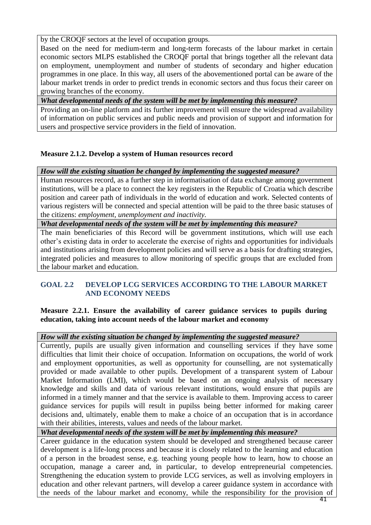by the CROQF sectors at the level of occupation groups.

Based on the need for medium-term and long-term forecasts of the labour market in certain economic sectors MLPS established the CROQF portal that brings together all the relevant data on employment, unemployment and number of students of secondary and higher education programmes in one place. In this way, all users of the abovementioned portal can be aware of the labour market trends in order to predict trends in economic sectors and thus focus their career on growing branches of the economy.

*What developmental needs of the system will be met by implementing this measure?*

Providing an on-line platform and its further improvement will ensure the widespread availability of information on public services and public needs and provision of support and information for users and prospective service providers in the field of innovation.

## **Measure 2.1.2. Develop a system of Human resources record**

*How will the existing situation be changed by implementing the suggested measure?*

Human resources record, as a further step in informatisation of data exchange among government institutions, will be a place to connect the key registers in the Republic of Croatia which describe position and career path of individuals in the world of education and work. Selected contents of various registers will be connected and special attention will be paid to the three basic statuses of the citizens: *employment, unemployment and inactivity.*

*What developmental needs of the system will be met by implementing this measure?*

The main beneficiaries of this Record will be government institutions, which will use each other's existing data in order to accelerate the exercise of rights and opportunities for individuals and institutions arising from development policies and will serve as a basis for drafting strategies, integrated policies and measures to allow monitoring of specific groups that are excluded from the labour market and education.

## **GOAL 2.2 DEVELOP LCG SERVICES ACCORDING TO THE LABOUR MARKET AND ECONOMY NEEDS**

## **Measure 2.2.1. Ensure the availability of career guidance services to pupils during education, taking into account needs of the labour market and economy**

*How will the existing situation be changed by implementing the suggested measure?*

Currently, pupils are usually given information and counselling services if they have some difficulties that limit their choice of occupation. Information on occupations, the world of work and employment opportunities, as well as opportunity for counselling, are not systematically provided or made available to other pupils. Development of a transparent system of Labour Market Information (LMI), which would be based on an ongoing analysis of necessary knowledge and skills and data of various relevant institutions, would ensure that pupils are informed in a timely manner and that the service is available to them. Improving access to career guidance services for pupils will result in pupilss being better informed for making career decisions and, ultimately, enable them to make a choice of an occupation that is in accordance with their abilities, interests, values and needs of the labour market.

*What developmental needs of the system will be met by implementing this measure?*

Career guidance in the education system should be developed and strengthened because career development is a life-long process and because it is closely related to the learning and education of a person in the broadest sense, e.g. teaching young people how to learn, how to choose an occupation, manage a career and, in particular, to develop entrepreneurial competencies. Strengthening the education system to provide LCG services, as well as involving employers in education and other relevant partners, will develop a career guidance system in accordance with the needs of the labour market and economy, while the responsibility for the provision of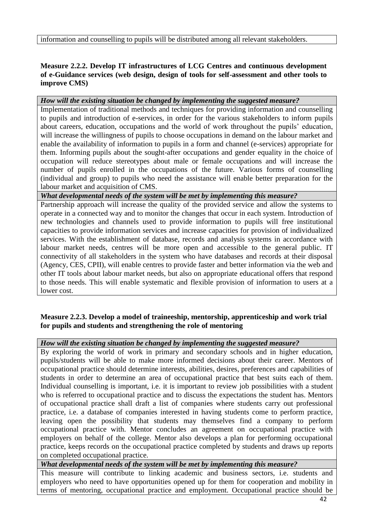information and counselling to pupils will be distributed among all relevant stakeholders.

## **Measure 2.2.2. Develop IT infrastructures of LCG Centres and continuous development of e-Guidance services (web design, design of tools for self-assessment and other tools to improve CMS)**

#### *How will the existing situation be changed by implementing the suggested measure?*

Implementation of traditional methods and techniques for providing information and counselling to pupils and introduction of e-services, in order for the various stakeholders to inform pupils about careers, education, occupations and the world of work throughout the pupils' education, will increase the willingness of pupils to choose occupations in demand on the labour market and enable the availability of information to pupils in a form and channel (e-services) appropriate for them. Informing pupils about the sought-after occupations and gender equality in the choice of occupation will reduce stereotypes about male or female occupations and will increase the number of pupils enrolled in the occupations of the future. Various forms of counselling (individual and group) to pupils who need the assistance will enable better preparation for the labour market and acquisition of CMS.

*What developmental needs of the system will be met by implementing this measure?*

Partnership approach will increase the quality of the provided service and allow the systems to operate in a connected way and to monitor the changes that occur in each system. Introduction of new technologies and channels used to provide information to pupils will free institutional capacities to provide information services and increase capacities for provision of individualized services. With the establishment of database, records and analysis systems in accordance with labour market needs, centres will be more open and accessible to the general public. IT connectivity of all stakeholders in the system who have databases and records at their disposal (Agency, CES, CPII), will enable centres to provide faster and better information via the web and other IT tools about labour market needs, but also on appropriate educational offers that respond to those needs. This will enable systematic and flexible provision of information to users at a lower cost.

#### **Measure 2.2.3. Develop a model of traineeship, mentorship, apprenticeship and work trial for pupils and students and strengthening the role of mentoring**

## *How will the existing situation be changed by implementing the suggested measure?*

By exploring the world of work in primary and secondary schools and in higher education, pupils/students will be able to make more informed decisions about their career. Mentors of occupational practice should determine interests, abilities, desires, preferences and capabilities of students in order to determine an area of occupational practice that best suits each of them. Individual counselling is important, i.e. it is important to review job possibilities with a student who is referred to occupational practice and to discuss the expectations the student has. Mentors of occupational practice shall draft a list of companies where students carry out professional practice, i.e. a database of companies interested in having students come to perform practice, leaving open the possibility that students may themselves find a company to perform occupational practice with. Mentor concludes an agreement on occupational practice with employers on behalf of the college. Mentor also develops a plan for performing occupational practice, keeps records on the occupational practice completed by students and draws up reports on completed occupational practice.

## *What developmental needs of the system will be met by implementing this measure?*

This measure will contribute to linking academic and business sectors, i.e. students and employers who need to have opportunities opened up for them for cooperation and mobility in terms of mentoring, occupational practice and employment. Occupational practice should be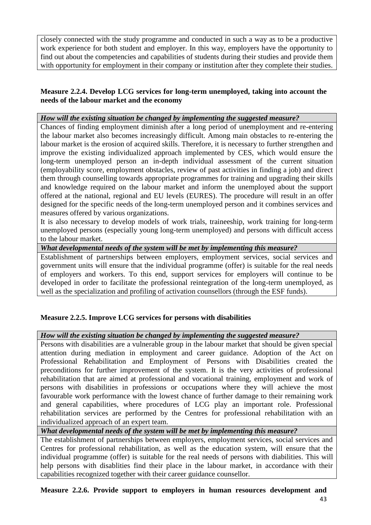closely connected with the study programme and conducted in such a way as to be a productive work experience for both student and employer. In this way, employers have the opportunity to find out about the competencies and capabilities of students during their studies and provide them with opportunity for employment in their company or institution after they complete their studies.

## **Measure 2.2.4. Develop LCG services for long-term unemployed, taking into account the needs of the labour market and the economy**

## *How will the existing situation be changed by implementing the suggested measure?*

Chances of finding employment diminish after a long period of unemployment and re-entering the labour market also becomes increasingly difficult. Among main obstacles to re-entering the labour market is the erosion of acquired skills. Therefore, it is necessary to further strengthen and improve the existing individualized approach implemented by CES, which would ensure the long-term unemployed person an in-depth individual assessment of the current situation (employability score, employment obstacles, review of past activities in finding a job) and direct them through counselling towards appropriate programmes for training and upgrading their skills and knowledge required on the labour market and inform the unemployed about the support offered at the national, regional and EU levels (EURES). The procedure will result in an offer designed for the specific needs of the long-term unemployed person and it combines services and measures offered by various organizations.

It is also necessary to develop models of work trials, traineeship, work training for long-term unemployed persons (especially young long-term unemployed) and persons with difficult access to the labour market.

## *What developmental needs of the system will be met by implementing this measure?*

Establishment of partnerships between employers, employment services, social services and government units will ensure that the individual programme (offer) is suitable for the real needs of employers and workers. To this end, support services for employers will continue to be developed in order to facilitate the professional reintegration of the long-term unemployed, as well as the specialization and profiling of activation counsellors (through the ESF funds).

## **Measure 2.2.5. Improve LCG services for persons with disabilities**

## *How will the existing situation be changed by implementing the suggested measure?*

Persons with disabilities are a vulnerable group in the labour market that should be given special attention during mediation in employment and career guidance. Adoption of the Act on Professional Rehabilitation and Employment of Persons with Disabilities created the preconditions for further improvement of the system. It is the very activities of professional rehabilitation that are aimed at professional and vocational training, employment and work of persons with disabilities in professions or occupations where they will achieve the most favourable work performance with the lowest chance of further damage to their remaining work and general capabilities, where procedures of LCG play an important role. Professional rehabilitation services are performed by the Centres for professional rehabilitation with an individualized approach of an expert team.

*What developmental needs of the system will be met by implementing this measure?*

The establishment of partnerships between employers, employment services, social services and Centres for professional rehabilitation, as well as the education system, will ensure that the individual programme (offer) is suitable for the real needs of persons with diabilities. This will help persons with disablities find their place in the labour market, in accordance with their capabilities recognized together with their career guidance counsellor.

# **Measure 2.2.6. Provide support to employers in human resources development and**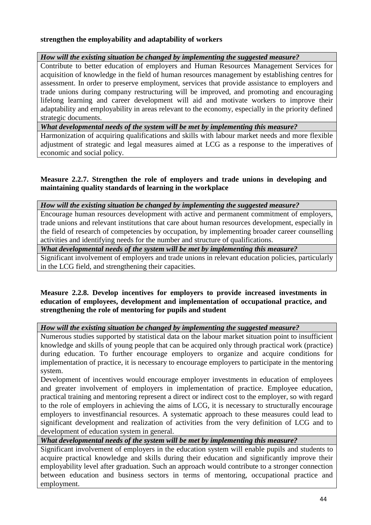## **strengthen the employability and adaptability of workers**

#### *How will the existing situation be changed by implementing the suggested measure?*

Contribute to better education of employers and Human Resources Management Services for acquisition of knowledge in the field of human resources management by establishing centres for assessment. In order to preserve employment, services that provide assistance to employers and trade unions during company restructuring will be improved, and promoting and encouraging lifelong learning and career development will aid and motivate workers to improve their adaptability and employability in areas relevant to the economy, especially in the priority defined strategic documents.

*What developmental needs of the system will be met by implementing this measure?*

Harmonization of acquiring qualifications and skills with labour market needs and more flexible adjustment of strategic and legal measures aimed at LCG as a response to the imperatives of economic and social policy.

#### **Measure 2.2.7. Strengthen the role of employers and trade unions in developing and maintaining quality standards of learning in the workplace**

*How will the existing situation be changed by implementing the suggested measure?*

Encourage human resources development with active and permanent commitment of employers, trade unions and relevant institutions that care about human resources development, especially in the field of research of competencies by occupation, by implementing broader career counselling activities and identifying needs for the number and structure of qualifications.

*What developmental needs of the system will be met by implementing this measure?*

Significant involvement of employers and trade unions in relevant education policies, particularly in the LCG field, and strengthening their capacities.

#### **Measure 2.2.8. Develop incentives for employers to provide increased investments in education of employees, development and implementation of occupational practice, and strengthening the role of mentoring for pupils and student**

*How will the existing situation be changed by implementing the suggested measure?*

Numerous studies supported by statistical data on the labour market situation point to insufficient knowledge and skills of young people that can be acquired only through practical work (practice) during education. To further encourage employers to organize and acquire conditions for implementation of practice, it is necessary to encourage employers to participate in the mentoring system.

Development of incentives would encourage employer investments in education of employees and greater involvement of employers in implementation of practice. Employee education, practical training and mentoring represent a direct or indirect cost to the employer, so with regard to the role of employers in achieving the aims of LCG, it is necessary to structurally encourage employers to investfinancial resources. A systematic approach to these measures could lead to significant development and realization of activities from the very definition of LCG and to development of education system in general.

*What developmental needs of the system will be met by implementing this measure?*

Significant involvement of employers in the education system will enable pupils and students to acquire practical knowledge and skills during their education and significantly improve their employability level after graduation. Such an approach would contribute to a stronger connection between education and business sectors in terms of mentoring, occupational practice and employment.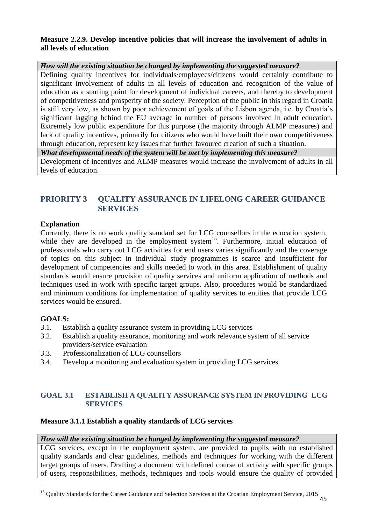## **Measure 2.2.9. Develop incentive policies that will increase the involvement of adults in all levels of education**

*How will the existing situation be changed by implementing the suggested measure?*

Defining quality incentives for individuals/employees/citizens would certainly contribute to significant involvement of adults in all levels of education and recognition of the value of education as a starting point for development of individual careers, and thereby to development of competitiveness and prosperity of the society. Perception of the public in this regard in Croatia is still very low, as shown by poor achievement of goals of the Lisbon agenda, i.e. by Croatia's significant lagging behind the EU average in number of persons involved in adult education. Extremely low public expenditure for this purpose (the majority through ALMP measures) and lack of quality incentives, primarily for citizens who would have built their own competitiveness through education, represent key issues that further favoured creation of such a situation.

*What developmental needs of the system will be met by implementing this measure?*

Development of incentives and ALMP measures would increase the involvement of adults in all levels of education.

## **PRIORITY 3 QUALITY ASSURANCE IN LIFELONG CAREER GUIDANCE SERVICES**

## **Explanation**

Currently, there is no work quality standard set for LCG counsellors in the education system, while they are developed in the employment system<sup>15</sup>. Furthermore, initial education of professionals who carry out LCG activities for end users varies significantly and the coverage of topics on this subject in individual study programmes is scarce and insufficient for development of competencies and skills needed to work in this area. Establishment of quality standards would ensure provision of quality services and uniform application of methods and techniques used in work with specific target groups. Also, procedures would be standardized and minimum conditions for implementation of quality services to entities that provide LCG services would be ensured.

## **GOALS:**

- 3.1. Establish a quality assurance system in providing LCG services
- 3.2. Establish a quality assurance, monitoring and work relevance system of all service providers/service evaluation
- 3.3. Professionalization of LCG counsellors
- 3.4. Develop a monitoring and evaluation system in providing LCG services

## **GOAL 3.1 ESTABLISH A QUALITY ASSURANCE SYSTEM IN PROVIDING LCG SERVICES**

## **Measure 3.1.1 Establish a quality standards of LCG services**

## *How will the existing situation be changed by implementing the suggested measure?*

LCG services, except in the employment system, are provided to pupils with no established quality standards and clear guidelines, methods and techniques for working with the different target groups of users. Drafting a document with defined course of activity with specific groups of users, responsibilities, methods, techniques and tools would ensure the quality of provided

 $\overline{a}$ <sup>15</sup> Quality Standards for the Career Guidance and Selection Services at the Croatian Employment Service, 2015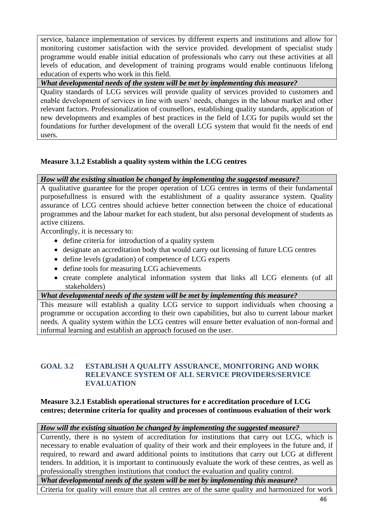service, balance implementation of services by different experts and institutions and allow for monitoring customer satisfaction with the service provided. development of specialist study programme would enable initial education of professionals who carry out these activities at all levels of education, and development of training programs would enable continuous lifelong education of experts who work in this field.

*What developmental needs of the system will be met by implementing this measure?*

Quality standards of LCG services will provide quality of services provided to customers and enable development of services in line with users' needs, changes in the labour market and other relevant factors. Professionalization of counsellors, establishing quality standards, application of new developments and examples of best practices in the field of LCG for pupils would set the foundations for further development of the overall LCG system that would fit the needs of end users.

## **Measure 3.1.2 Establish a quality system within the LCG centres**

#### *How will the existing situation be changed by implementing the suggested measure?*

A qualitative guarantee for the proper operation of LCG centres in terms of their fundamental purposefullness is ensured with the establishment of a quality assurance system. Quality assurance of LCG centres should achieve better connection between the choice of educational programmes and the labour market for each student, but also personal development of students as active citizens.

Accordingly, it is necessary to:

- define criteria for introduction of a quality system
- designate an accreditation body that would carry out licensing of future LCG centres
- define levels (gradation) of competence of LCG experts
- define tools for measuring LCG achievements
- create complete analytical information system that links all LCG elements (of all stakeholders)

*What developmental needs of the system will be met by implementing this measure?*

This measure will establish a quality LCG service to support individuals when choosing a programme or occupation according to their own capabilities, but also to current labour market needs. A quality system within the LCG centres will ensure better evaluation of non-formal and informal learning and establish an approach focused on the user.

#### **GOAL 3.2 ESTABLISH A QUALITY ASSURANCE, MONITORING AND WORK RELEVANCE SYSTEM OF ALL SERVICE PROVIDERS/SERVICE EVALUATION**

## **Measure 3.2.1 Establish operational structures for e accreditation procedure of LCG centres; determine criteria for quality and processes of continuous evaluation of their work**

## *How will the existing situation be changed by implementing the suggested measure?*

Currently, there is no system of accreditation for institutions that carry out LCG, which is necessary to enable evaluation of quality of their work and their employees in the future and, if required, to reward and award additional points to institutions that carry out LCG at different tenders. In addition, it is important to continuously evaluate the work of these centres, as well as professionally strengthen institutions that conduct the evaluation and quality control.

*What developmental needs of the system will be met by implementing this measure?*

Criteria for quality will ensure that all centres are of the same quality and harmonized for work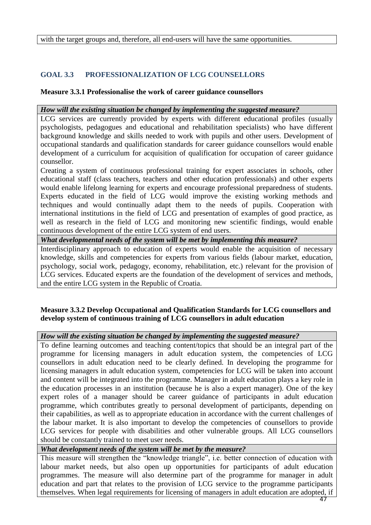with the target groups and, therefore, all end-users will have the same opportunities.

## **GOAL 3.3 PROFESSIONALIZATION OF LCG COUNSELLORS**

## **Measure 3.3.1 Professionalise the work of career guidance counsellors**

## *How will the existing situation be changed by implementing the suggested measure?*

LCG services are currently provided by experts with different educational profiles (usually psychologists, pedagogues and educational and rehabilitation specialists) who have different background knowledge and skills needed to work with pupils and other users. Development of occupational standards and qualification standards for career guidance counsellors would enable development of a curriculum for acquisition of qualification for occupation of career guidance counsellor.

Creating a system of continuous professional training for expert associates in schools, other educational staff (class teachers, teachers and other education professionals) and other experts would enable lifelong learning for experts and encourage professional preparedness of students. Experts educated in the field of LCG would improve the existing working methods and techniques and would continually adapt them to the needs of pupils. Cooperation with international institutions in the field of LCG and presentation of examples of good practice, as well as research in the field of LCG and monitoring new scientific findings, would enable continuous development of the entire LCG system of end users.

*What developmental needs of the system will be met by implementing this measure?*

Interdisciplinary approach to education of experts would enable the acquisition of necessary knowledge, skills and competencies for experts from various fields (labour market, education, psychology, social work, pedagogy, economy, rehabilitation, etc.) relevant for the provision of LCG services. Educated experts are the foundation of the development of services and methods, and the entire LCG system in the Republic of Croatia.

## **Measure 3.3.2 Develop Occupational and Qualification Standards for LCG counsellors and develop system of continuous training of LCG counsellors in adult education**

## *How will the existing situation be changed by implementing the suggested measure?*

To define learning outcomes and teaching content/topics that should be an integral part of the programme for licensing managers in adult education system, the competencies of LCG counsellors in adult education need to be clearly defined. In developing the programme for licensing managers in adult education system, competencies for LCG will be taken into account and content will be integrated into the programme. Manager in adult education plays a key role in the education processes in an institution (because he is also a expert manager). One of the key expert roles of a manager should be career guidance of participants in adult education programme, which contributes greatly to personal development of participants, depending on their capabilities, as well as to appropriate education in accordance with the current challenges of the labour market. It is also important to develop the competencies of counsellors to provide LCG services for people with disabilities and other vulnerable groups. All LCG counsellors should be constantly trained to meet user needs.

*What development needs of the system will be met by the measure?*

This measure will strengthen the "knowledge triangle", i.e. better connection of education with labour market needs, but also open up opportunities for participants of adult education programmes. The measure will also determine part of the programme for manager in adult education and part that relates to the provision of LCG service to the programme participants themselves. When legal requirements for licensing of managers in adult education are adopted, if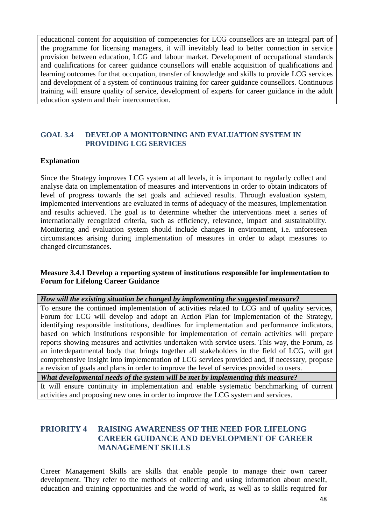educational content for acquisition of competencies for LCG counsellors are an integral part of the programme for licensing managers, it will inevitably lead to better connection in service provision between education, LCG and labour market. Development of occupational standards and qualifications for career guidance counsellors will enable acquisition of qualifications and learning outcomes for that occupation, transfer of knowledge and skills to provide LCG services and development of a system of continuous training for career guidance counsellors. Continuous training will ensure quality of service, development of experts for career guidance in the adult education system and their interconnection.

## **GOAL 3.4 DEVELOP A MONITORNING AND EVALUATION SYSTEM IN PROVIDING LCG SERVICES**

#### **Explanation**

Since the Strategy improves LCG system at all levels, it is important to regularly collect and analyse data on implementation of measures and interventions in order to obtain indicators of level of progress towards the set goals and achieved results. Through evaluation system, implemented interventions are evaluated in terms of adequacy of the measures, implementation and results achieved. The goal is to determine whether the interventions meet a series of internationally recognized criteria, such as efficiency, relevance, impact and sustainability. Monitoring and evaluation system should include changes in environment, i.e. unforeseen circumstances arising during implementation of measures in order to adapt measures to changed circumstances.

#### **Measure 3.4.1 Develop a reporting system of institutions responsible for implementation to Forum for Lifelong Career Guidance**

#### *How will the existing situation be changed by implementing the suggested measure?*

To ensure the continued implementation of activities related to LCG and of quality services, Forum for LCG will develop and adopt an Action Plan for implementation of the Strategy, identifying responsible institutions, deadlines for implementation and performance indicators, based on which institutions responsible for implementation of certain activities will prepare reports showing measures and activities undertaken with service users. This way, the Forum, as an interdepartmental body that brings together all stakeholders in the field of LCG, will get comprehensive insight into implementation of LCG services provided and, if necessary, propose a revision of goals and plans in order to improve the level of services provided to users.

*What developmental needs of the system will be met by implementing this measure?*

It will ensure continuity in implementation and enable systematic benchmarking of current activities and proposing new ones in order to improve the LCG system and services.

## **PRIORITY 4 RAISING AWARENESS OF THE NEED FOR LIFELONG CAREER GUIDANCE AND DEVELOPMENT OF CAREER MANAGEMENT SKILLS**

Career Management Skills are skills that enable people to manage their own career development. They refer to the methods of collecting and using information about oneself, education and training opportunities and the world of work, as well as to skills required for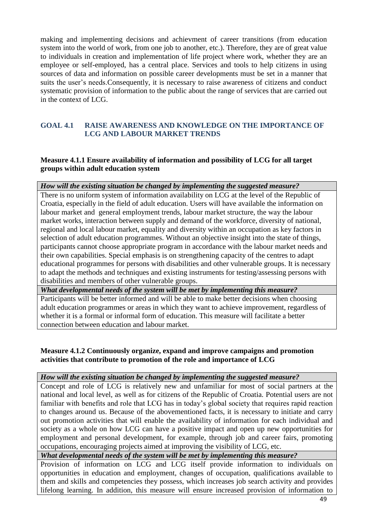making and implementing decisions and achievment of career transitions (from education system into the world of work, from one job to another, etc.). Therefore, they are of great value to individuals in creation and implementation of life project where work, whether they are an employee or self-employed, has a central place. Services and tools to help citizens in using sources of data and information on possible career developments must be set in a manner that suits the user's needs.Consequently, it is necessary to raise awareness of citizens and conduct systematic provision of information to the public about the range of services that are carried out in the context of LCG.

## **GOAL 4.1 RAISE AWARENESS AND KNOWLEDGE ON THE IMPORTANCE OF LCG AND LABOUR MARKET TRENDS**

## **Measure 4.1.1 Ensure availability of information and possibility of LCG for all target groups within adult education system**

*How will the existing situation be changed by implementing the suggested measure?*

There is no uniform system of information availability on LCG at the level of the Republic of Croatia, especially in the field of adult education. Users will have available the information on labour market and general employment trends, labour market structure, the way the labour market works, interaction between supply and demand of the workforce, diversity of national, regional and local labour market, equality and diversity within an occupation as key factors in selection of adult education programmes. Without an objective insight into the state of things, participants cannot choose appropriate program in accordance with the labour market needs and their own capabilities. Special emphasis is on strengthening capacity of the centres to adapt educational programmes for persons with disabilities and other vulnerable groups. It is necessary to adapt the methods and techniques and existing instruments for testing/assessing persons with disabilities and members of other vulnerable groups.

*What developmental needs of the system will be met by implementing this measure?*

Participants will be better informed and will be able to make better decisions when choosing adult education programmes or areas in which they want to achieve improvement, regardless of whether it is a formal or informal form of education. This measure will facilitate a better connection between education and labour market.

## **Measure 4.1.2 Continuously organize, expand and improve campaigns and promotion activities that contribute to promotion of the role and importance of LCG**

## *How will the existing situation be changed by implementing the suggested measure?*

Concept and role of LCG is relatively new and unfamiliar for most of social partners at the national and local level, as well as for citizens of the Republic of Croatia. Potential users are not familiar with benefits and role that LCG has in today's global society that requires rapid reaction to changes around us. Because of the abovementioned facts, it is necessary to initiate and carry out promotion activities that will enable the availability of information for each individual and society as a whole on how LCG can have a positive impact and open up new opportunities for employment and personal development, for example, through job and career fairs, promoting occupations, encouraging projects aimed at improving the visibility of LCG, etc.

*What developmental needs of the system will be met by implementing this measure?*

Provision of information on LCG and LCG itself provide information to individuals on opportunities in education and employment, changes of occupation, qualifications available to them and skills and competencies they possess, which increases job search activity and provides lifelong learning. In addition, this measure will ensure increased provision of information to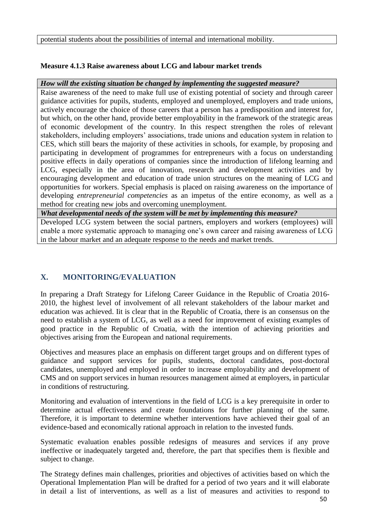potential students about the possibilities of internal and international mobility.

## **Measure 4.1.3 Raise awareness about LCG and labour market trends**

## *How will the existing situation be changed by implementing the suggested measure?*

Raise awareness of the need to make full use of existing potential of society and through career guidance activities for pupils, students, employed and unemployed, employers and trade unions, actively encourage the choice of those careers that a person has a predisposition and interest for, but which, on the other hand, provide better employability in the framework of the strategic areas of economic development of the country. In this respect strengthen the roles of relevant stakeholders, including employers' associations, trade unions and education system in relation to CES, which still bears the majority of these activities in schools, for example, by proposing and participating in development of programmes for entrepreneurs with a focus on understanding positive effects in daily operations of companies since the introduction of lifelong learning and LCG, especially in the area of innovation, research and development activities and by encouraging development and education of trade union structures on the meaning of LCG and opportunities for workers. Special emphasis is placed on raising awareness on the importance of developing *entrepreneurial competencies* as an impetus of the entire economy, as well as a method for creating new jobs and overcoming unemployment.

*What developmental needs of the system will be met by implementing this measure?*

Developed LCG system between the social partners, employers and workers (employees) will enable a more systematic approach to managing one's own career and raising awareness of LCG in the labour market and an adequate response to the needs and market trends.

# **X. MONITORING/EVALUATION**

In preparing a Draft Strategy for Lifelong Career Guidance in the Republic of Croatia 2016- 2010, the highest level of involvement of all relevant stakeholders of the labour market and education was achieved. Iit is clear that in the Republic of Croatia, there is an consensus on the need to establish a system of LCG, as well as a need for improvement of existing examples of good practice in the Republic of Croatia, with the intention of achieving priorities and objectives arising from the European and national requirements.

Objectives and measures place an emphasis on different target groups and on different types of guidance and support services for pupils, students, doctoral candidates, post-doctoral candidates, unemployed and employed in order to increase employability and development of CMS and on support services in human resources management aimed at employers, in particular in conditions of restructuring.

Monitoring and evaluation of interventions in the field of LCG is a key prerequisite in order to determine actual effectiveness and create foundations for further planning of the same. Therefore, it is important to determine whether interventions have achieved their goal of an evidence-based and economically rational approach in relation to the invested funds.

Systematic evaluation enables possible redesigns of measures and services if any prove ineffective or inadequately targeted and, therefore, the part that specifies them is flexible and subject to change.

The Strategy defines main challenges, priorities and objectives of activities based on which the Operational Implementation Plan will be drafted for a period of two years and it will elaborate in detail a list of interventions, as well as a list of measures and activities to respond to